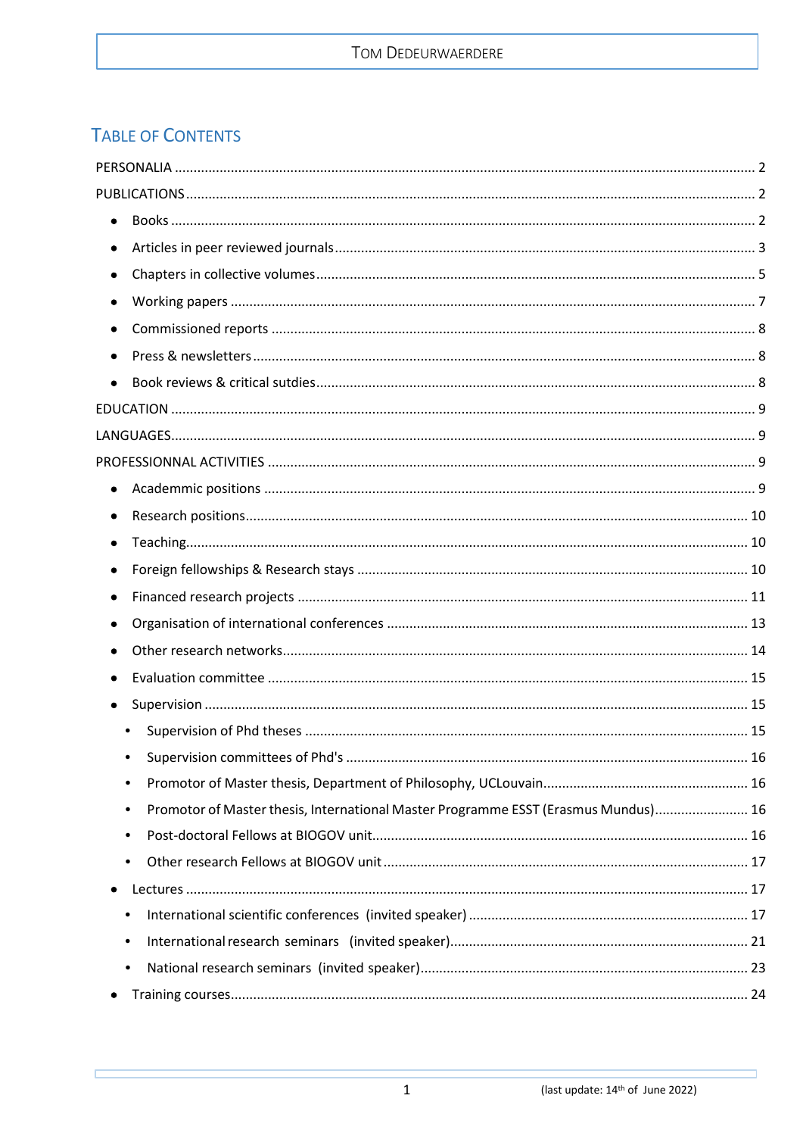# **TABLE OF CONTENTS**

| $\bullet$                                                                               |  |
|-----------------------------------------------------------------------------------------|--|
|                                                                                         |  |
| $\bullet$                                                                               |  |
| $\bullet$                                                                               |  |
|                                                                                         |  |
| $\bullet$                                                                               |  |
|                                                                                         |  |
|                                                                                         |  |
|                                                                                         |  |
|                                                                                         |  |
|                                                                                         |  |
|                                                                                         |  |
|                                                                                         |  |
|                                                                                         |  |
|                                                                                         |  |
|                                                                                         |  |
|                                                                                         |  |
|                                                                                         |  |
|                                                                                         |  |
|                                                                                         |  |
|                                                                                         |  |
| $\bullet$                                                                               |  |
| Promotor of Master thesis, International Master Programme ESST (Erasmus Mundus) 16<br>٠ |  |
| $\bullet$                                                                               |  |
| ٠                                                                                       |  |
|                                                                                         |  |
| ٠                                                                                       |  |
| ٠                                                                                       |  |
| ٠                                                                                       |  |
|                                                                                         |  |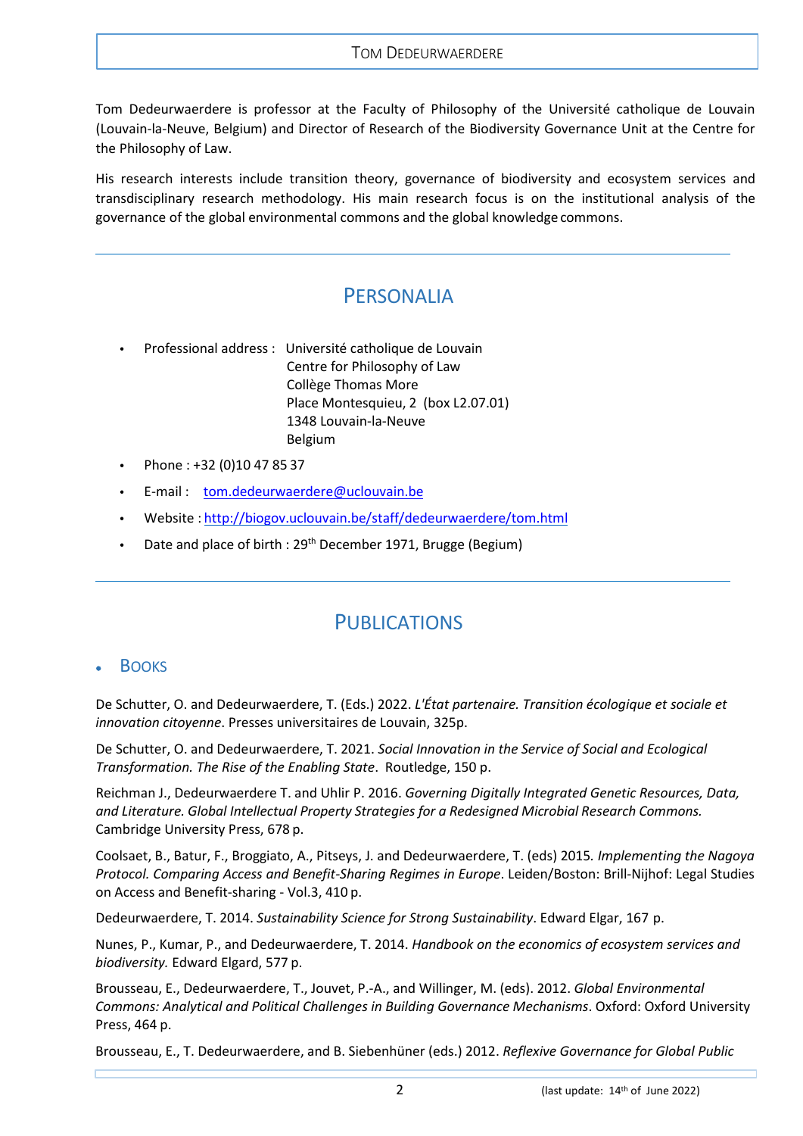#### TOM DEDEURWAERDERE

Tom Dedeurwaerdere is professor at the Faculty of Philosophy of the Université catholique de Louvain (Louvain-la-Neuve, Belgium) and Director of Research of the Biodiversity Governance Unit at the Centre for the Philosophy of Law.

<span id="page-1-0"></span>His research interests include transition theory, governance of biodiversity and ecosystem services and transdisciplinary research methodology. His main research focus is on the institutional analysis of the governance of the global environmental commons and the global knowledge commons.

# PERSONALIA

- **•** Professional address : Université catholique de Louvain Centre for Philosophy of Law Collège Thomas More Place Montesquieu, 2 (box L2.07.01) 1348 Louvain-la-Neuve Belgium
- **•** Phone : +32 (0)10 47 85 37
- **•** E-mail : [tom.dedeurwaerdere@uclouvain.be](mailto:tom.dedeurwaerdere@uclouvain.be)
- **•** Website : <http://biogov.uclouvain.be/staff/dedeurwaerdere/tom.html>
- <span id="page-1-1"></span>**•** Date and place of birth : 29th December 1971, Brugge (Begium)

# PUBLICATIONS

### <span id="page-1-2"></span>**BOOKS**

De Schutter, O. and Dedeurwaerdere, T. (Eds.) 2022. *L'État partenaire. Transition écologique et sociale et innovation citoyenne*. Presses universitaires de Louvain, 325p.

De Schutter, O. and Dedeurwaerdere, T. 2021. *Social Innovation in the Service of Social and Ecological Transformation. The Rise of the Enabling State*. Routledge, 150 p.

Reichman J., Dedeurwaerdere T. and Uhlir P. 2016. *Governing Digitally Integrated Genetic Resources, Data, and Literature. Global Intellectual Property Strategies for a Redesigned Microbial Research Commons.* Cambridge University Press, 678 p.

Coolsaet, B., Batur, F., Broggiato, A., Pitseys, J. and Dedeurwaerdere, T. (eds) 2015*. Implementing the Nagoya Protocol. Comparing Access and Benefit-Sharing Regimes in Europe*. Leiden/Boston: Brill-Nijhof: Legal Studies on Access and Benefit-sharing - Vol.3, 410 p.

Dedeurwaerdere, T. 2014. *Sustainability Science for Strong Sustainability*. Edward Elgar, 167 p.

Nunes, P., Kumar, P., and Dedeurwaerdere, T. 2014. *Handbook on the economics of ecosystem services and biodiversity.* Edward Elgard, 577 p.

Brousseau, E., Dedeurwaerdere, T., Jouvet, P.-A., and Willinger, M. (eds). 2012. *Global Environmental Commons: Analytical and Political Challenges in Building Governance Mechanisms*. Oxford: Oxford University Press, 464 p.

Brousseau, E., T. Dedeurwaerdere, and B. Siebenhüner (eds.) 2012. *Reflexive Governance for Global Public*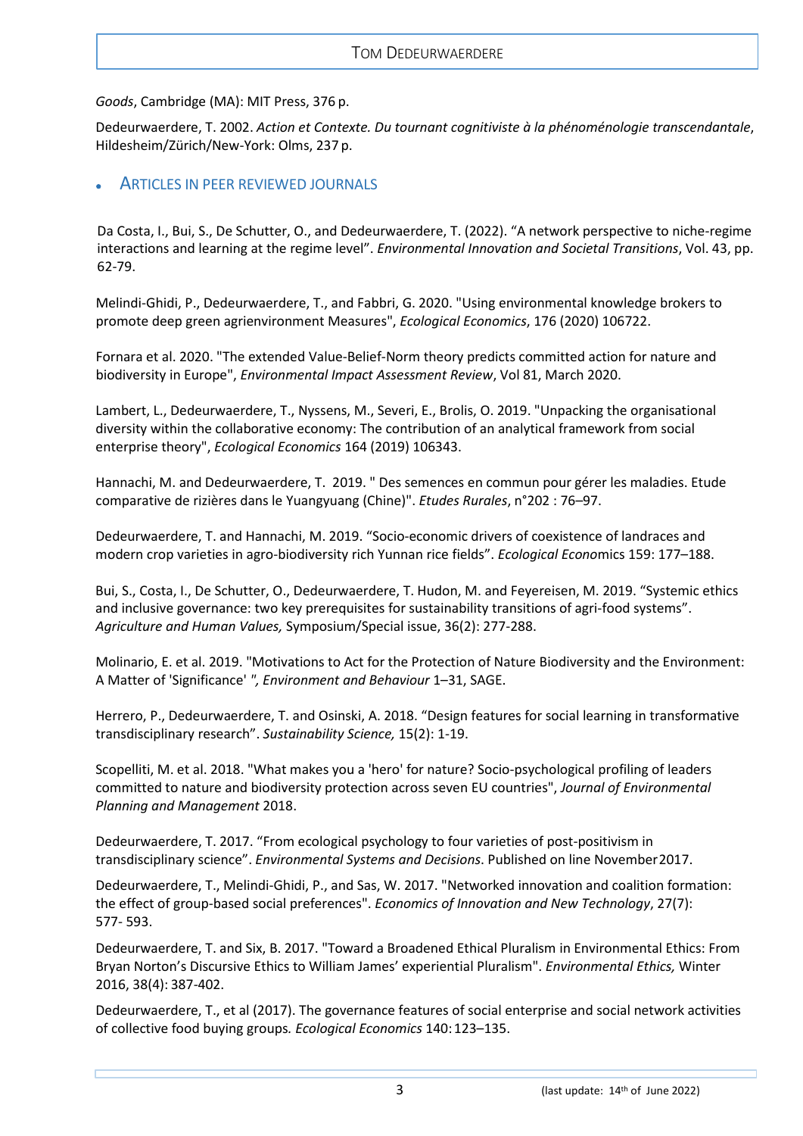*Goods*, Cambridge (MA): MIT Press, 376 p.

Dedeurwaerdere, T. 2002. *Action et Contexte. Du tournant cognitiviste à la phénoménologie transcendantale*, Hildesheim/Zürich/New-York: Olms, 237 p.

## <span id="page-2-0"></span>• ARTICLES IN PEER REVIEWED JOURNALS

Da Costa, I., Bui, S., De Schutter, O., and Dedeurwaerdere, T. (2022). "A network perspective to niche-regime interactions and learning at the regime level". *Environmental Innovation and Societal Transitions*, Vol. 43, pp. 62-79.

Melindi-Ghidi, P., Dedeurwaerdere, T., and Fabbri, G. 2020. "Using environmental knowledge brokers to promote deep green agrienvironment Measures", *Ecological Economics*, 176 (2020) 106722.

Fornara et al. 2020. "The extended Value-Belief-Norm theory predicts committed action for nature and biodiversity in Europe", *Environmental Impact Assessment Review*, Vol 81, March 2020.

Lambert, L., Dedeurwaerdere, T., Nyssens, M., Severi, E., Brolis, O. 2019. "Unpacking the organisational diversity within the collaborative economy: The contribution of an analytical framework from social enterprise theory", *Ecological Economics* 164 (2019) 106343.

Hannachi, M. and Dedeurwaerdere, T. 2019. " Des semences en commun pour gérer les maladies. Etude comparative de rizières dans le Yuangyuang (Chine)". *Etudes Rurales*, n°202 : 76–97.

Dedeurwaerdere, T. and Hannachi, M. 2019. "Socio-economic drivers of coexistence of landraces and modern crop varieties in agro-biodiversity rich Yunnan rice fields". *Ecological Econo*mics 159: 177–188.

Bui, S., Costa, I., De Schutter, O., Dedeurwaerdere, T. Hudon, M. and Feyereisen, M. 2019. "Systemic ethics and inclusive governance: two key prerequisites for sustainability transitions of agri-food systems". *Agriculture and Human Values,* Symposium/Special issue, 36(2): 277-288.

Molinario, E. et al. 2019. "Motivations to Act for the Protection of Nature Biodiversity and the Environment: A Matter of 'Significance' *", Environment and Behaviour* 1–31, SAGE.

Herrero, P., Dedeurwaerdere, T. and Osinski, A. 2018. "Design features for social learning in transformative transdisciplinary research". *Sustainability Science,* 15(2): 1-19.

Scopelliti, M. et al. 2018. "What makes you a 'hero' for nature? Socio-psychological profiling of leaders committed to nature and biodiversity protection across seven EU countries", *Journal of Environmental Planning and Management* 2018.

Dedeurwaerdere, T. 2017. "From ecological psychology to four varieties of post-positivism in transdisciplinary science". *Environmental Systems and Decisions*. Published on line November2017.

Dedeurwaerdere, T., Melindi-Ghidi, P., and Sas, W. 2017. "Networked innovation and coalition formation: the effect of group-based social preferences". *Economics of Innovation and New Technology*, 27(7): 577- 593.

Dedeurwaerdere, T. and Six, B. 2017. "Toward a Broadened Ethical Pluralism in Environmental Ethics: From Bryan Norton's Discursive Ethics to William James' experiential Pluralism". *Environmental Ethics,* Winter 2016, 38(4): 387-402.

Dedeurwaerdere, T., et al (2017). The governance features of social enterprise and social network activities of collective food buying groups*. Ecological Economics* 140:123–135.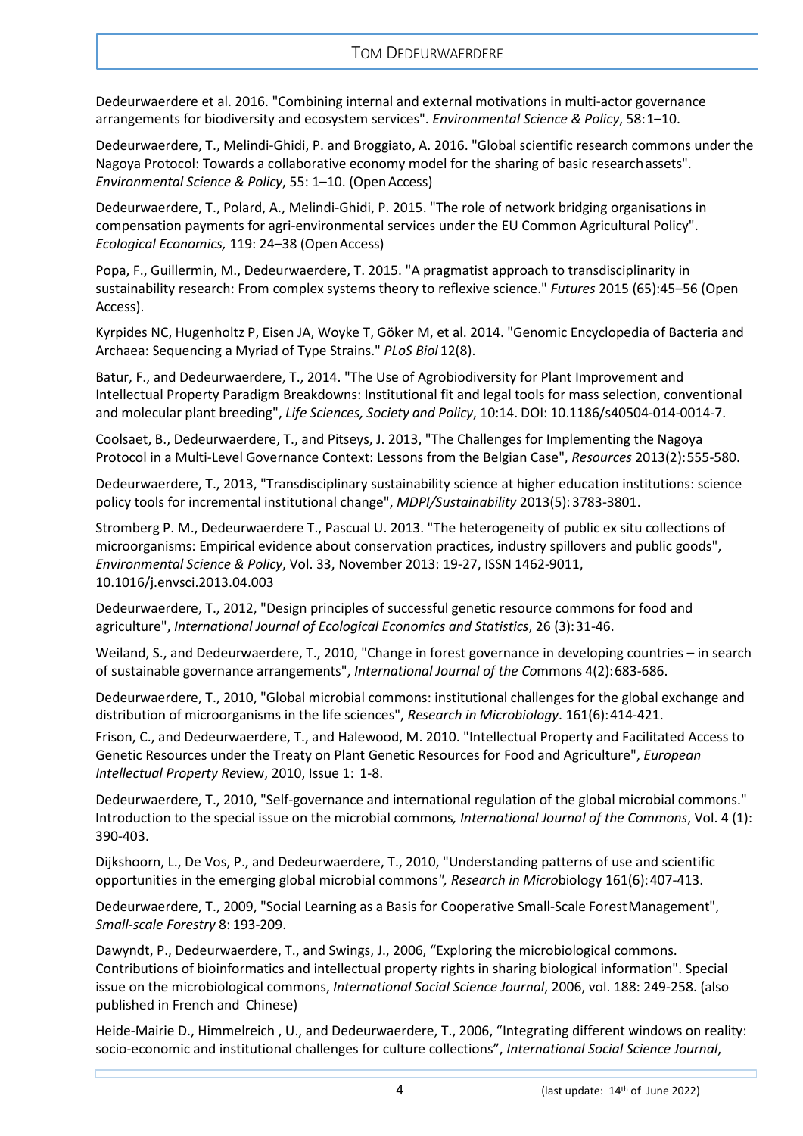Dedeurwaerdere et al. 2016. "Combining internal and external motivations in multi-actor governance arrangements for biodiversity and ecosystem services". *Environmental Science & Policy*, 58:1–10.

Dedeurwaerdere, T., Melindi-Ghidi, P. and Broggiato, A. 2016. "Global scientific research commons under the Nagoya Protocol: Towards a collaborative economy model for the sharing of basic researchassets". *Environmental Science & Policy*, 55: 1–10. (OpenAccess)

Dedeurwaerdere, T., Polard, A., Melindi-Ghidi, P. 2015. "The role of network bridging organisations in compensation payments for agri-environmental services under the EU Common Agricultural Policy". *Ecological Economics,* 119: 24–38 (OpenAccess)

Popa, F., Guillermin, M., Dedeurwaerdere, T. 2015. "A pragmatist approach to transdisciplinarity in sustainability research: From complex systems theory to reflexive science." *Futures* 2015 (65):45–56 (Open Access).

Kyrpides NC, Hugenholtz P, Eisen JA, Woyke T, Göker M, et al. 2014. "Genomic Encyclopedia of Bacteria and Archaea: Sequencing a Myriad of Type Strains." *PLoS Biol* 12(8).

Batur, F., and Dedeurwaerdere, T., 2014. "The Use of Agrobiodiversity for Plant Improvement and Intellectual Property Paradigm Breakdowns: Institutional fit and legal tools for mass selection, conventional and molecular plant breeding", *Life Sciences, Society and Policy*, 10:14. DOI: 10.1186/s40504-014-0014-7.

Coolsaet, B., Dedeurwaerdere, T., and Pitseys, J. 2013, "The Challenges for Implementing the Nagoya Protocol in a Multi-Level Governance Context: Lessons from the Belgian Case", *Resources* 2013(2):555-580.

Dedeurwaerdere, T., 2013, "Transdisciplinary sustainability science at higher education institutions: science policy tools for incremental institutional change", *MDPI/Sustainability* 2013(5):3783-3801.

Stromberg P. M., Dedeurwaerdere T., Pascual U. 2013. "The heterogeneity of public ex situ collections of microorganisms: Empirical evidence about conservation practices, industry spillovers and public goods", *Environmental Science & Policy*, Vol. 33, November 2013: 19-27, ISSN 1462-9011, 10.1016/j.envsci.2013.04.003

Dedeurwaerdere, T., 2012, "Design principles of successful genetic resource commons for food and agriculture", *International Journal of Ecological Economics and Statistics*, 26 (3):31-46.

Weiland, S., and Dedeurwaerdere, T., 2010, "Change in forest governance in developing countries – in search of sustainable governance arrangements", *International Journal of the Co*mmons 4(2):683-686.

Dedeurwaerdere, T., 2010, "Global microbial commons: institutional challenges for the global exchange and distribution of microorganisms in the life sciences", *Research in Microbiology*. 161(6):414-421.

Frison, C., and Dedeurwaerdere, T., and Halewood, M. 2010. "Intellectual Property and Facilitated Access to Genetic Resources under the Treaty on Plant Genetic Resources for Food and Agriculture", *European Intellectual Property Re*view, 2010, Issue 1: 1-8.

Dedeurwaerdere, T., 2010, "Self-governance and international regulation of the global microbial commons." Introduction to the special issue on the microbial commons*, International Journal of the Commons*, Vol. 4 (1): 390-403.

Dijkshoorn, L., De Vos, P., and Dedeurwaerdere, T., 2010, "Understanding patterns of use and scientific opportunities in the emerging global microbial commons*", Research in Micro*biology 161(6):407-413.

Dedeurwaerdere, T., 2009, "Social Learning as a Basis for Cooperative Small-Scale ForestManagement", *Small-scale Forestry* 8: 193-209.

Dawyndt, P., Dedeurwaerdere, T., and Swings, J., 2006, "Exploring the microbiological commons. Contributions of bioinformatics and intellectual property rights in sharing biological information". Special issue on the microbiological commons, *International Social Science Journal*, 2006, vol. 188: 249-258. (also published in French and Chinese)

Heide-Mairie D., Himmelreich , U., and Dedeurwaerdere, T., 2006, "Integrating different windows on reality: socio-economic and institutional challenges for culture collections", *International Social Science Journal*,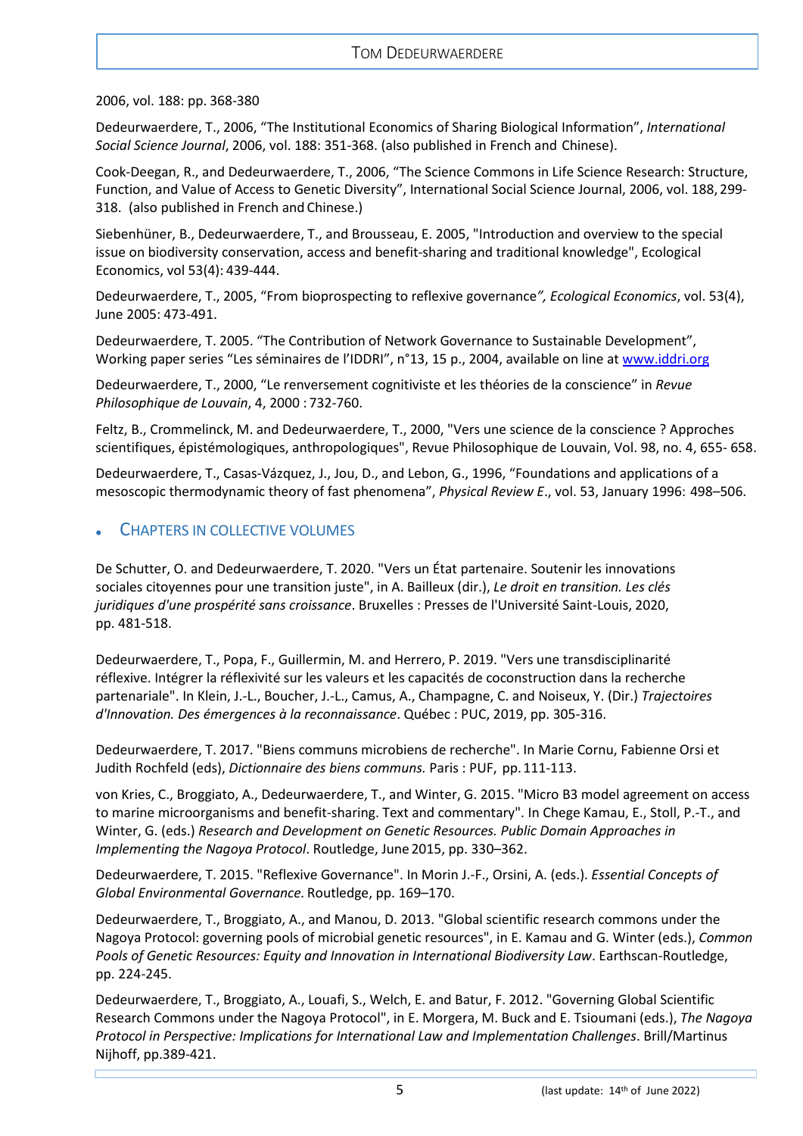2006, vol. 188: pp. 368-380

Dedeurwaerdere, T., 2006, "The Institutional Economics of Sharing Biological Information", *International Social Science Journal*, 2006, vol. 188: 351-368. (also published in French and Chinese).

Cook-Deegan, R., and Dedeurwaerdere, T., 2006, "The Science Commons in Life Science Research: Structure, Function, and Value of Access to Genetic Diversity", International Social Science Journal, 2006, vol. 188, 299- 318. (also published in French and Chinese.)

Siebenhüner, B., Dedeurwaerdere, T., and Brousseau, E. 2005, "Introduction and overview to the special issue on biodiversity conservation, access and benefit-sharing and traditional knowledge", Ecological Economics, vol 53(4): 439-444.

Dedeurwaerdere, T., 2005, "From bioprospecting to reflexive governance*", Ecological Economics*, vol. 53(4), June 2005: 473-491.

Dedeurwaerdere, T. 2005. "The Contribution of Network Governance to Sustainable Development", Working paper series "Les séminaires de l'IDDRI", n°13, 15 p., 2004, available on line a[t www.iddri.org](http://www.iddri.org/)

Dedeurwaerdere, T., 2000, "Le renversement cognitiviste et les théories de la conscience" in *Revue Philosophique de Louvain*, 4, 2000 : 732-760.

Feltz, B., Crommelinck, M. and Dedeurwaerdere, T., 2000, "Vers une science de la conscience ? Approches scientifiques, épistémologiques, anthropologiques", Revue Philosophique de Louvain, Vol. 98, no. 4, 655- 658.

Dedeurwaerdere, T., Casas-Vázquez, J., Jou, D., and Lebon, G., 1996, "Foundations and applications of a mesoscopic thermodynamic theory of fast phenomena", *Physical Review E*., vol. 53, January 1996: 498–506.

## <span id="page-4-0"></span>• CHAPTERS IN COLLECTIVE VOLUMES

De Schutter, O. and Dedeurwaerdere, T. 2020. "Vers un État partenaire. Soutenir les innovations sociales citoyennes pour une transition juste", in A. Bailleux (dir.), *Le droit en transition. Les clés juridiques d'une prospérité sans croissance*. Bruxelles : Presses de l'Université Saint-Louis, 2020, pp. 481-518.

Dedeurwaerdere, T., Popa, F., Guillermin, M. and Herrero, P. 2019. "Vers une transdisciplinarité réflexive. Intégrer la réflexivité sur les valeurs et les capacités de coconstruction dans la recherche partenariale". In Klein, J.-L., Boucher, J.-L., Camus, A., Champagne, C. and Noiseux, Y. (Dir.) *Trajectoires d'Innovation. Des émergences à la reconnaissance*. Québec : PUC, 2019, pp. 305-316.

Dedeurwaerdere, T. 2017. "Biens communs microbiens de recherche". In Marie Cornu, Fabienne Orsi et Judith Rochfeld (eds), *Dictionnaire des biens communs.* Paris : PUF, pp.111-113.

von Kries, C., Broggiato, A., Dedeurwaerdere, T., and Winter, G. 2015. "Micro B3 model agreement on access to marine microorganisms and benefit-sharing. Text and commentary". In Chege Kamau, E., Stoll, P.-T., and Winter, G. (eds.) *Research and Development on Genetic Resources. Public Domain Approaches in Implementing the Nagoya Protocol*. Routledge, June 2015, pp. 330–362.

Dedeurwaerdere, T. 2015. "Reflexive Governance". In Morin J.-F., Orsini, A. (eds.). *Essential Concepts of Global Environmental Governance.* Routledge, pp. 169–170.

Dedeurwaerdere, T., Broggiato, A., and Manou, D. 2013. "Global scientific research commons under the Nagoya Protocol: governing pools of microbial genetic resources", in E. Kamau and G. Winter (eds.), *Common Pools of Genetic Resources: Equity and Innovation in International Biodiversity Law*. Earthscan-Routledge, pp. 224-245.

Dedeurwaerdere, T., Broggiato, A., Louafi, S., Welch, E. and Batur, F. 2012. "Governing Global Scientific Research Commons under the Nagoya Protocol", in E. Morgera, M. Buck and E. Tsioumani (eds.), *The Nagoya Protocol in Perspective: Implications for International Law and Implementation Challenges*. Brill/Martinus Nijhoff, pp.389-421.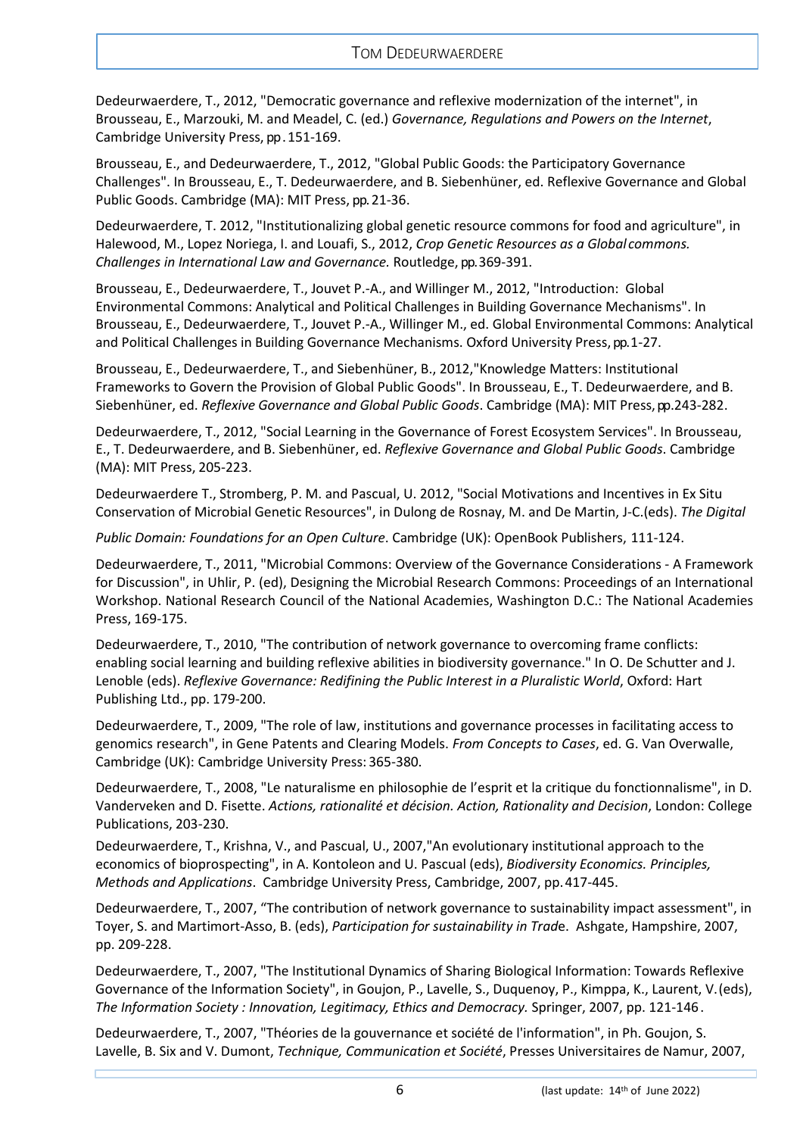Dedeurwaerdere, T., 2012, "Democratic governance and reflexive modernization of the internet", in Brousseau, E., Marzouki, M. and Meadel, C. (ed.) *Governance, Regulations and Powers on the Internet*, Cambridge University Press, pp . 151-169.

Brousseau, E., and Dedeurwaerdere, T., 2012, "Global Public Goods: the Participatory Governance Challenges". In Brousseau, E., T. Dedeurwaerdere, and B. Siebenhüner, ed. Reflexive Governance and Global Public Goods. Cambridge (MA): MIT Press, pp. 21-36.

Dedeurwaerdere, T. 2012, "Institutionalizing global genetic resource commons for food and agriculture", in Halewood, M., Lopez Noriega, I. and Louafi, S., 2012, *Crop Genetic Resources as a Global commons. Challenges in International Law and Governance.* Routledge, pp. 369-391.

Brousseau, E., Dedeurwaerdere, T., Jouvet P.-A., and Willinger M., 2012, "Introduction: Global Environmental Commons: Analytical and Political Challenges in Building Governance Mechanisms". In Brousseau, E., Dedeurwaerdere, T., Jouvet P.-A., Willinger M., ed. Global Environmental Commons: Analytical and Political Challenges in Building Governance Mechanisms. Oxford University Press, pp. 1-27.

Brousseau, E., Dedeurwaerdere, T., and Siebenhüner, B., 2012,"Knowledge Matters: Institutional Frameworks to Govern the Provision of Global Public Goods". In Brousseau, E., T. Dedeurwaerdere, and B. Siebenhüner, ed. *Reflexive Governance and Global Public Goods*. Cambridge (MA): MIT Press,pp . 243-282.

Dedeurwaerdere, T., 2012, "Social Learning in the Governance of Forest Ecosystem Services". In Brousseau, E., T. Dedeurwaerdere, and B. Siebenhüner, ed. *Reflexive Governance and Global Public Goods*. Cambridge (MA): MIT Press, 205-223.

Dedeurwaerdere T., Stromberg, P. M. and Pascual, U. 2012, "Social Motivations and Incentives in Ex Situ Conservation of Microbial Genetic Resources", in Dulong de Rosnay, M. and De Martin, J-C.(eds). *The Digital* 

*Public Domain: Foundations for an Open Culture*. Cambridge (UK): OpenBook Publishers, 111-124.

Dedeurwaerdere, T., 2011, "Microbial Commons: Overview of the Governance Considerations - A Framework for Discussion", in Uhlir, P. (ed), Designing the Microbial Research Commons: Proceedings of an International Workshop. National Research Council of the National Academies, Washington D.C.: The National Academies Press, 169-175.

Dedeurwaerdere, T., 2010, "The contribution of network governance to overcoming frame conflicts: enabling social learning and building reflexive abilities in biodiversity governance." In O. De Schutter and J. Lenoble (eds). *Reflexive Governance: Redifining the Public Interest in a Pluralistic World*, Oxford: Hart Publishing Ltd., pp. 179-200.

Dedeurwaerdere, T., 2009, "The role of law, institutions and governance processes in facilitating access to genomics research", in Gene Patents and Clearing Models. *From Concepts to Cases*, ed. G. Van Overwalle, Cambridge (UK): Cambridge University Press: 365-380.

Dedeurwaerdere, T., 2008, "Le naturalisme en philosophie de l'esprit et la critique du fonctionnalisme", in D. Vanderveken and D. Fisette. *Actions, rationalité et décision. Action, Rationality and Decision*, London: College Publications, 203-230.

Dedeurwaerdere, T., Krishna, V., and Pascual, U., 2007,"An evolutionary institutional approach to the economics of bioprospecting", in A. Kontoleon and U. Pascual (eds), *Biodiversity Economics. Principles, Methods and Applications*. Cambridge University Press, Cambridge, 2007, pp.417-445.

Dedeurwaerdere, T., 2007, "The contribution of network governance to sustainability impact assessment", in Toyer, S. and Martimort-Asso, B. (eds), *Participation for sustainability in Trad*e. Ashgate, Hampshire, 2007, pp. 209-228.

Dedeurwaerdere, T., 2007, "The Institutional Dynamics of Sharing Biological Information: Towards Reflexive Governance of the Information Society", in Goujon, P., Lavelle, S., Duquenoy, P., Kimppa, K., Laurent, V.(eds), *The Information Society : Innovation, Legitimacy, Ethics and Democracy.* Springer, 2007, pp. 121-146.

Dedeurwaerdere, T., 2007, "Théories de la gouvernance et société de l'information", in Ph. Goujon, S. Lavelle, B. Six and V. Dumont, *Technique, Communication et Société*, Presses Universitaires de Namur, 2007,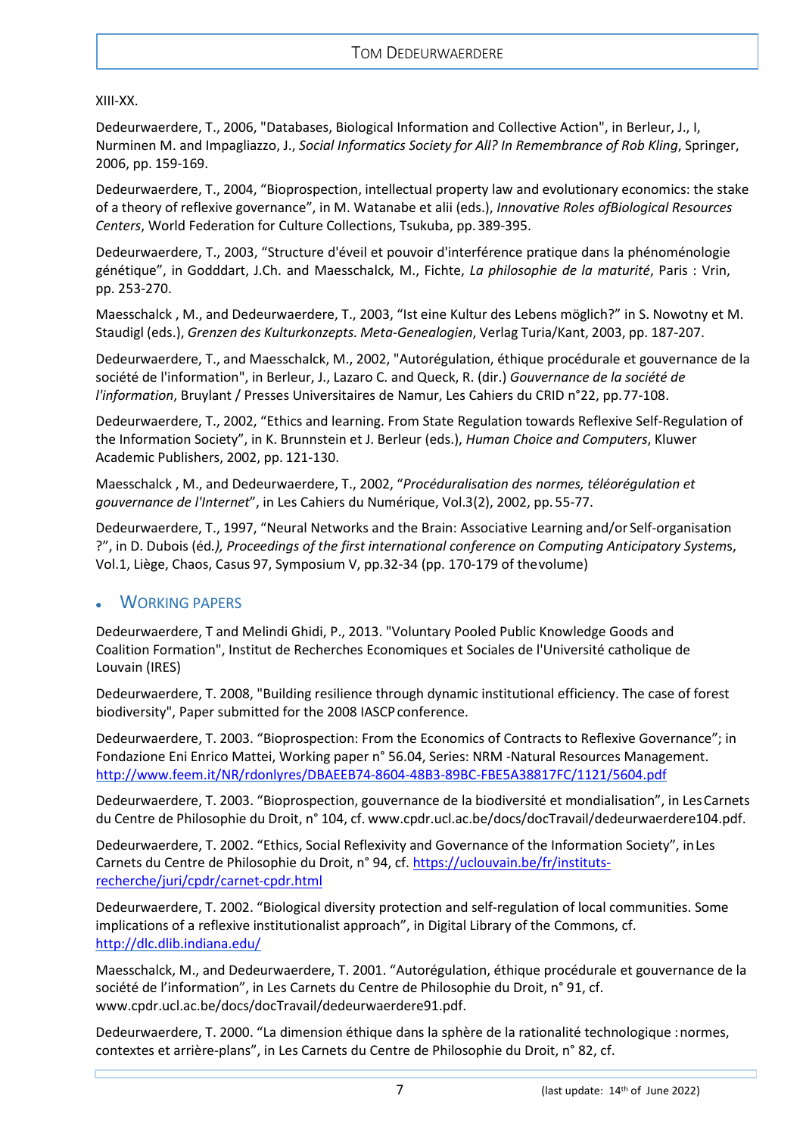### XIII-XX.

Dedeurwaerdere, T., 2006, "Databases, Biological Information and Collective Action", in Berleur, J., I, Nurminen M. and Impagliazzo, J., *Social Informatics Society for All? In Remembrance of Rob Kling*, Springer, 2006, pp. 159-169.

Dedeurwaerdere, T., 2004, "Bioprospection, intellectual property law and evolutionary economics: the stake of a theory of reflexive governance", in M. Watanabe et alii (eds.), *Innovative Roles ofBiological Resources Centers*, World Federation for Culture Collections, Tsukuba, pp.389-395.

Dedeurwaerdere, T., 2003, "Structure d'éveil et pouvoir d'interférence pratique dans la phénoménologie génétique", in Godddart, J.Ch. and Maesschalck, M., Fichte, *La philosophie de la maturité*, Paris : Vrin, pp. 253-270.

Maesschalck , M., and Dedeurwaerdere, T., 2003, "Ist eine Kultur des Lebens möglich?" in S. Nowotny et M. Staudigl (eds.), *Grenzen des Kulturkonzepts. Meta-Genealogien*, Verlag Turia/Kant, 2003, pp. 187-207.

Dedeurwaerdere, T., and Maesschalck, M., 2002, "Autorégulation, éthique procédurale et gouvernance de la société de l'information", in Berleur, J., Lazaro C. and Queck, R. (dir.) *Gouvernance de la société de l'information*, Bruylant / Presses Universitaires de Namur, Les Cahiers du CRID n°22, pp.77-108.

Dedeurwaerdere, T., 2002, "Ethics and learning. From State Regulation towards Reflexive Self-Regulation of the Information Society", in K. Brunnstein et J. Berleur (eds.), *Human Choice and Computers*, Kluwer Academic Publishers, 2002, pp. 121-130.

Maesschalck , M., and Dedeurwaerdere, T., 2002, "*Procéduralisation des normes, téléorégulation et gouvernance de l'Internet*", in Les Cahiers du Numérique, Vol.3(2), 2002, pp. 55-77.

Dedeurwaerdere, T., 1997, "Neural Networks and the Brain: Associative Learning and/or Self-organisation ?", in D. Dubois (éd*.), Proceedings of the first international conference on Computing Anticipatory System*s, Vol.1, Liège, Chaos, Casus 97, Symposium V, pp.32-34 (pp. 170-179 of thevolume)

# <span id="page-6-0"></span>• WORKING PAPERS

Dedeurwaerdere, T and Melindi Ghidi, P., 2013. "Voluntary Pooled Public Knowledge Goods and Coalition Formation", Institut de Recherches Economiques et Sociales de l'Université catholique de Louvain (IRES)

Dedeurwaerdere, T. 2008, "Building resilience through dynamic institutional efficiency. The case of forest biodiversity", Paper submitted for the 2008 IASCP conference.

Dedeurwaerdere, T. 2003. "Bioprospection: From the Economics of Contracts to Reflexive Governance"; in Fondazione Eni Enrico Mattei, Working paper n° 56.04, Series: NRM -Natural Resources Management. <http://www.feem.it/NR/rdonlyres/DBAEEB74-8604-48B3-89BC-FBE5A38817FC/1121/5604.pdf>

Dedeurwaerdere, T. 2003. "Bioprospection, gouvernance de la biodiversité et mondialisation", in LesCarnets du Centre de Philosophie du Droit, n° 104, cf. [www.cpdr.ucl.ac.be/docs/docTravail/dedeurwaerdere104.pdf.](http://www.cpdr.ucl.ac.be/docs/docTravail/dedeurwaerdere104.pdf)

Dedeurwaerdere, T. 2002. "Ethics, Social Reflexivity and Governance of the Information Society", inLes Carnets du Centre de Philosophie du Droit, n° 94, cf. [https://uclouvain.be/fr/instituts](https://uclouvain.be/fr/instituts-recherche/juri/cpdr/carnet-cpdr.html)[recherche/juri/cpdr/carnet-cpdr.html](https://uclouvain.be/fr/instituts-recherche/juri/cpdr/carnet-cpdr.html)

Dedeurwaerdere, T. 2002. "Biological diversity protection and self-regulation of local communities. Some implications of a reflexive institutionalist approach", in Digital Library of the Commons, cf. <http://dlc.dlib.indiana.edu/>

Maesschalck, M., and Dedeurwaerdere, T. 2001. "Autorégulation, éthique procédurale et gouvernance de la société de l'information", in Les Carnets du Centre de Philosophie du Droit, n° 91, cf. [www.cpdr.ucl.ac.be/docs/docTravail/dedeurwaerdere91.pdf.](http://www.cpdr.ucl.ac.be/docs/docTravail/dedeurwaerdere91.pdf)

Dedeurwaerdere, T. 2000. "La dimension éthique dans la sphère de la rationalité technologique :normes, contextes et arrière-plans", in Les Carnets du Centre de Philosophie du Droit, n° 82, cf.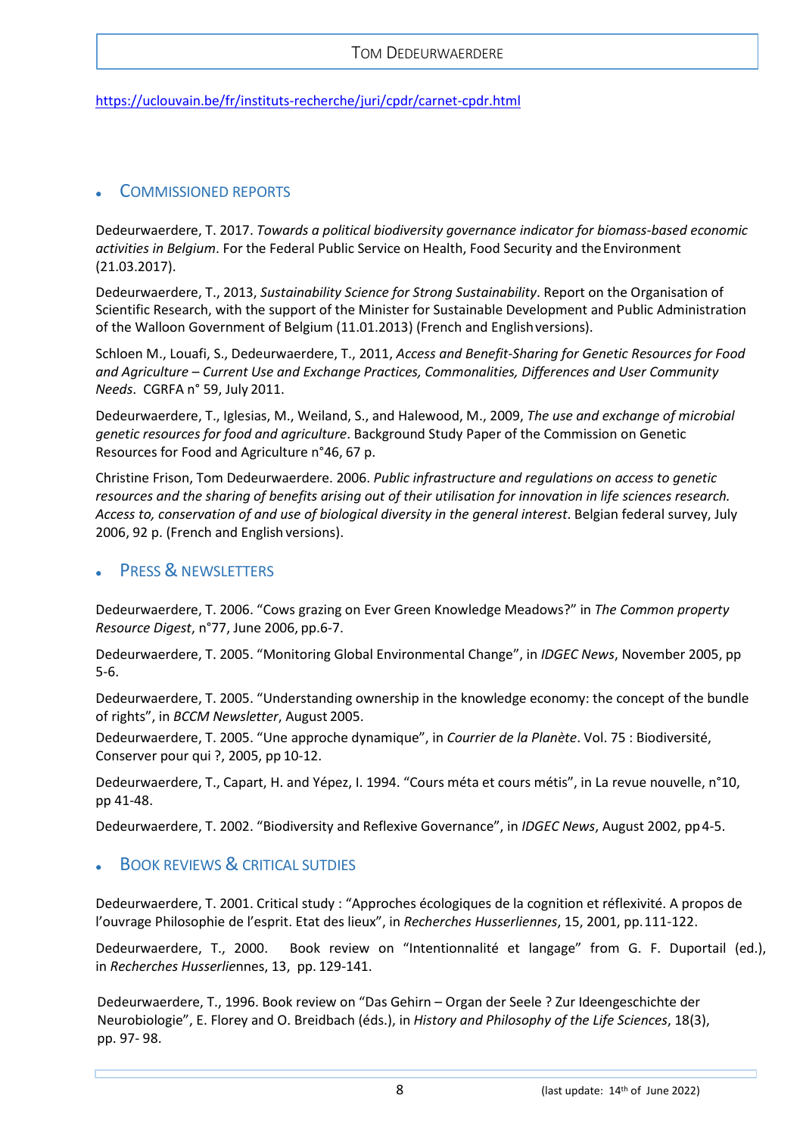<https://uclouvain.be/fr/instituts-recherche/juri/cpdr/carnet-cpdr.html>

# <span id="page-7-0"></span>• COMMISSIONED REPORTS

Dedeurwaerdere, T. 2017. *Towards a political biodiversity governance indicator for biomass-based economic*  activities in Belgium. For the Federal Public Service on Health, Food Security and the Environment (21.03.2017).

Dedeurwaerdere, T., 2013, *Sustainability Science for Strong Sustainability*. Report on the Organisation of Scientific Research, with the support of the Minister for Sustainable Development and Public Administration of the Walloon Government of Belgium (11.01.2013) (French and Englishversions).

Schloen M., Louafi, S., Dedeurwaerdere, T., 2011, *Access and Benefit-Sharing for Genetic Resources for Food and Agriculture – Current Use and Exchange Practices, Commonalities, Differences and User Community Needs*. CGRFA n° 59, July 2011.

Dedeurwaerdere, T., Iglesias, M., Weiland, S., and Halewood, M., 2009, *The use and exchange of microbial genetic resources for food and agriculture*. Background Study Paper of the Commission on Genetic Resources for Food and Agriculture n°46, 67 p.

Christine Frison, Tom Dedeurwaerdere. 2006. *Public infrastructure and regulations on access to genetic resources and the sharing of benefits arising out of their utilisation for innovation in life sciences research. Access to, conservation of and use of biological diversity in the general interest*. Belgian federal survey, July 2006, 92 p. (French and English versions).

# <span id="page-7-1"></span>**PRESS & NEWSLETTERS**

Dedeurwaerdere, T. 2006. "Cows grazing on Ever Green Knowledge Meadows?" in *The Common property Resource Digest*, n°77, June 2006, pp.6-7.

Dedeurwaerdere, T. 2005. "Monitoring Global Environmental Change", in *IDGEC News*, November 2005, pp 5-6.

Dedeurwaerdere, T. 2005. "Understanding ownership in the knowledge economy: the concept of the bundle of rights", in *BCCM Newsletter*, August 2005.

Dedeurwaerdere, T. 2005. "Une approche dynamique", in *Courrier de la Planète*. Vol. 75 : Biodiversité, Conserver pour qui ?, 2005, pp 10-12.

Dedeurwaerdere, T., Capart, H. and Yépez, I. 1994. "Cours méta et cours métis", in La revue nouvelle, n°10, pp 41-48.

<span id="page-7-2"></span>Dedeurwaerdere, T. 2002. "Biodiversity and Reflexive Governance", in *IDGEC News*, August 2002, pp4-5.

# **BOOK REVIEWS & CRITICAL SUTDIES**

Dedeurwaerdere, T. 2001. Critical study : "Approches écologiques de la cognition et réflexivité. A propos de l'ouvrage Philosophie de l'esprit. Etat des lieux", in *Recherches Husserliennes*, 15, 2001, pp.111-122.

Dedeurwaerdere, T., 2000. Book review on "Intentionnalité et langage" from G. F. Duportail (ed.), in *Recherches Husserlie*nnes, 13, pp. 129-141.

Dedeurwaerdere, T., 1996. Book review on "Das Gehirn – Organ der Seele ? Zur Ideengeschichte der Neurobiologie", E. Florey and O. Breidbach (éds.), in *History and Philosophy of the Life Sciences*, 18(3), pp. 97- 98.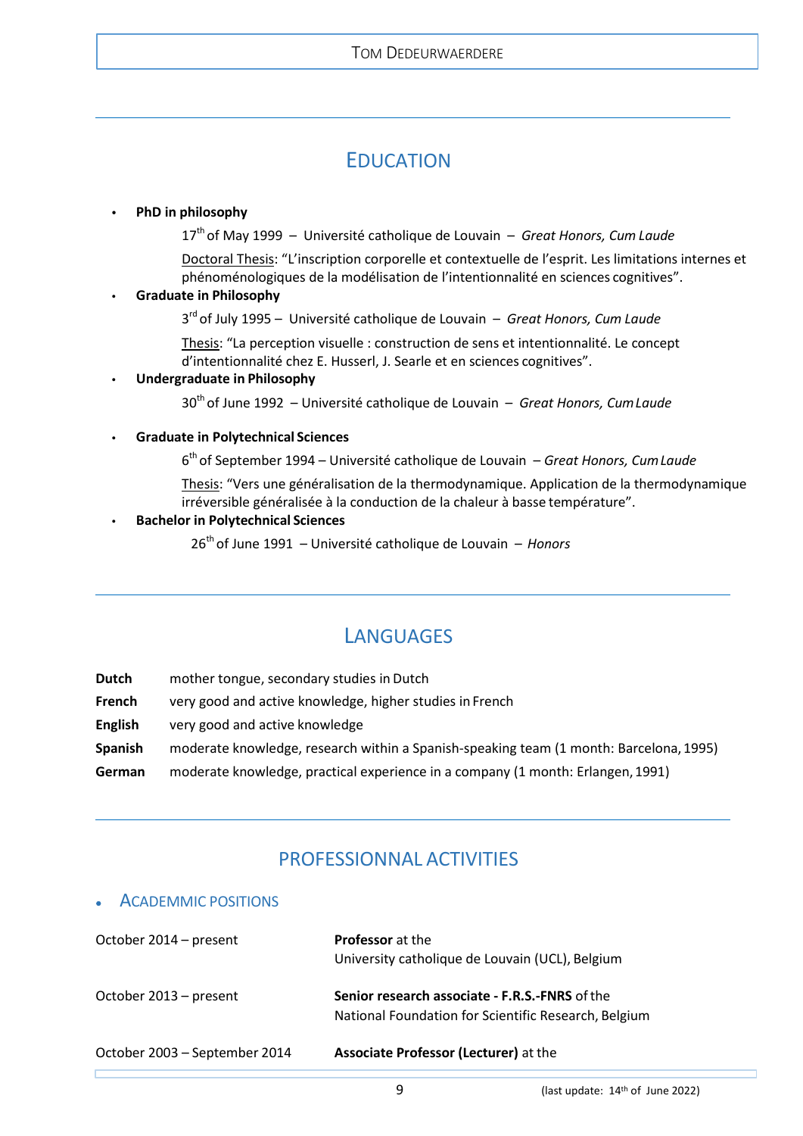# EDUCATION

#### <span id="page-8-0"></span>**• PhD in philosophy**

17th of May 1999 – Université catholique de Louvain – *Great Honors, Cum Laude*

Doctoral Thesis: "L'inscription corporelle et contextuelle de l'esprit. Les limitations internes et phénoménologiques de la modélisation de l'intentionnalité en sciences cognitives".

### **• Graduate in Philosophy**

3rd of July 1995 – Université catholique de Louvain – *Great Honors, Cum Laude*

Thesis: "La perception visuelle : construction de sens et intentionnalité. Le concept d'intentionnalité chez E. Husserl, J. Searle et en sciences cognitives".

#### **• Undergraduate in Philosophy**

30th of June 1992 – Université catholique de Louvain – *Great Honors, CumLaude*

#### **• Graduate in Polytechnical Sciences**

6th of September 1994 – Université catholique de Louvain – *Great Honors, CumLaude*

Thesis: "Vers une généralisation de la thermodynamique. Application de la thermodynamique irréversible généralisée à la conduction de la chaleur à basse température".

#### **• Bachelor in Polytechnical Sciences**

26th of June 1991 – Université catholique de Louvain – *Honors*

# **LANGUAGES**

<span id="page-8-1"></span>**Dutch** mother tongue, secondary studies in Dutch

- **French** very good and active knowledge, higher studies in French
- **English** very good and active knowledge
- **Spanish** moderate knowledge, research within a Spanish-speaking team (1 month: Barcelona, 1995)
- <span id="page-8-2"></span>**German** moderate knowledge, practical experience in a company (1 month: Erlangen,1991)

# PROFESSIONNAL ACTIVITIES

### <span id="page-8-3"></span>• ACADEMMIC POSITIONS

| October 2014 – present        | <b>Professor</b> at the<br>University catholique de Louvain (UCL), Belgium                             |
|-------------------------------|--------------------------------------------------------------------------------------------------------|
| October 2013 – present        | Senior research associate - F.R.S.-FNRS of the<br>National Foundation for Scientific Research, Belgium |
| October 2003 – September 2014 | <b>Associate Professor (Lecturer)</b> at the                                                           |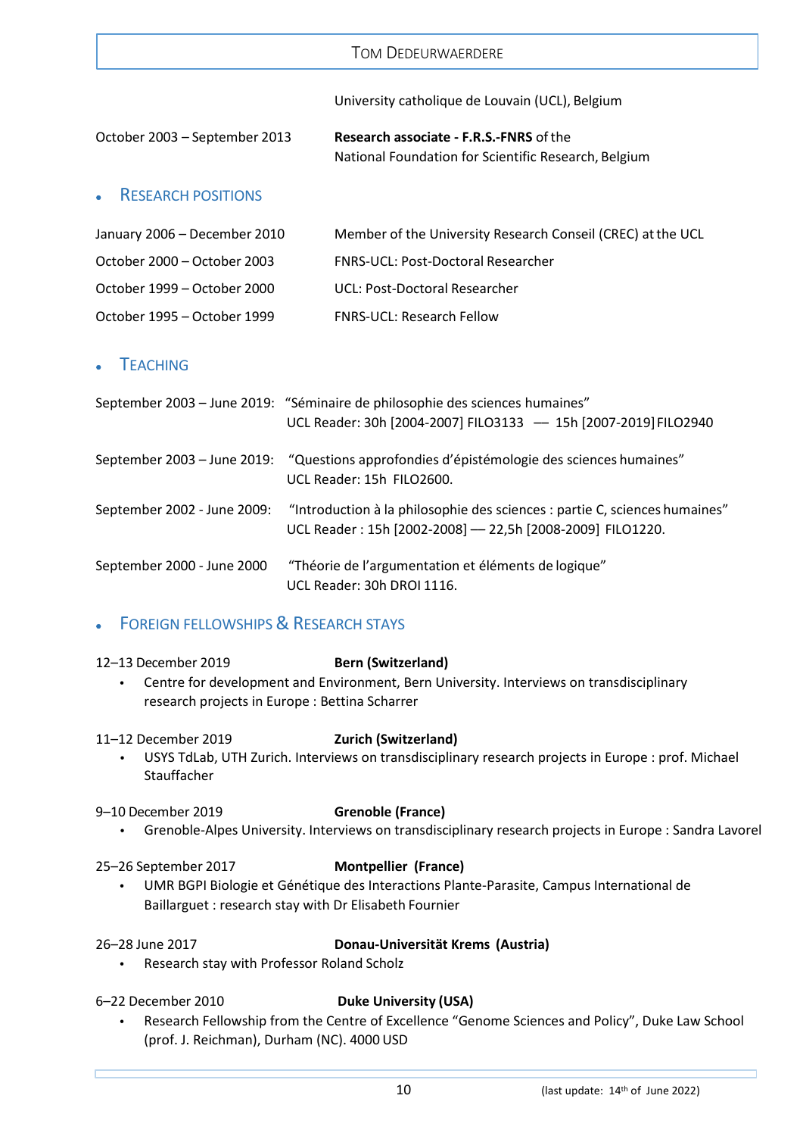|                               | Tom Dedeurwaerdere                                                                                     |
|-------------------------------|--------------------------------------------------------------------------------------------------------|
|                               | University catholique de Louvain (UCL), Belgium                                                        |
| October 2003 - September 2013 | <b>Research associate - F.R.S.-FNRS of the</b><br>National Foundation for Scientific Research, Belgium |

# <span id="page-9-0"></span>• RESEARCH POSITIONS

| January 2006 - December 2010 | Member of the University Research Conseil (CREC) at the UCL |
|------------------------------|-------------------------------------------------------------|
| October 2000 – October 2003  | <b>FNRS-UCL: Post-Doctoral Researcher</b>                   |
| October 1999 – October 2000  | UCL: Post-Doctoral Researcher                               |
| October 1995 – October 1999  | <b>FNRS-UCL: Research Fellow</b>                            |

# <span id="page-9-1"></span>**TEACHING**

|                             | September 2003 - June 2019: "Séminaire de philosophie des sciences humaines"<br>UCL Reader: 30h [2004-2007] FILO3133 - 15h [2007-2019] FILO2940 |
|-----------------------------|-------------------------------------------------------------------------------------------------------------------------------------------------|
|                             | September 2003 – June 2019: "Questions approfondies d'épistémologie des sciences humaines"<br>UCL Reader: 15h FILO2600.                         |
| September 2002 - June 2009: | "Introduction à la philosophie des sciences : partie C, sciences humaines"<br>UCL Reader: 15h [2002-2008] - 22,5h [2008-2009] FILO1220.         |
| September 2000 - June 2000  | "Théorie de l'argumentation et éléments de logique"<br>UCL Reader: 30h DROI 1116.                                                               |

# <span id="page-9-2"></span>**FOREIGN FELLOWSHIPS & RESEARCH STAYS**

### 12–13 December 2019 **Bern (Switzerland)**

**•** Centre for development and Environment, Bern University. Interviews on transdisciplinary research projects in Europe : Bettina Scharrer

### 11–12 December 2019 **Zurich (Switzerland)**

**•** USYS TdLab, UTH Zurich. Interviews on transdisciplinary research projects in Europe : prof. Michael Stauffacher

### 9–10 December 2019 **Grenoble (France)**

**•** Grenoble-Alpes University. Interviews on transdisciplinary research projects in Europe : Sandra Lavorel

### 25–26 September 2017 **Montpellier (France)**

**•** UMR BGPI Biologie et Génétique des Interactions Plante-Parasite, Campus International de Baillarguet : research stay with Dr Elisabeth Fournier

# 26–28 June 2017 **Donau-Universität Krems (Austria)**

- **•** Research stay with Professor Roland Scholz
- 

### 6–22 December 2010 **Duke University (USA)**

**•** Research Fellowship from the Centre of Excellence "Genome Sciences and Policy", Duke Law School (prof. J. Reichman), Durham (NC). 4000 USD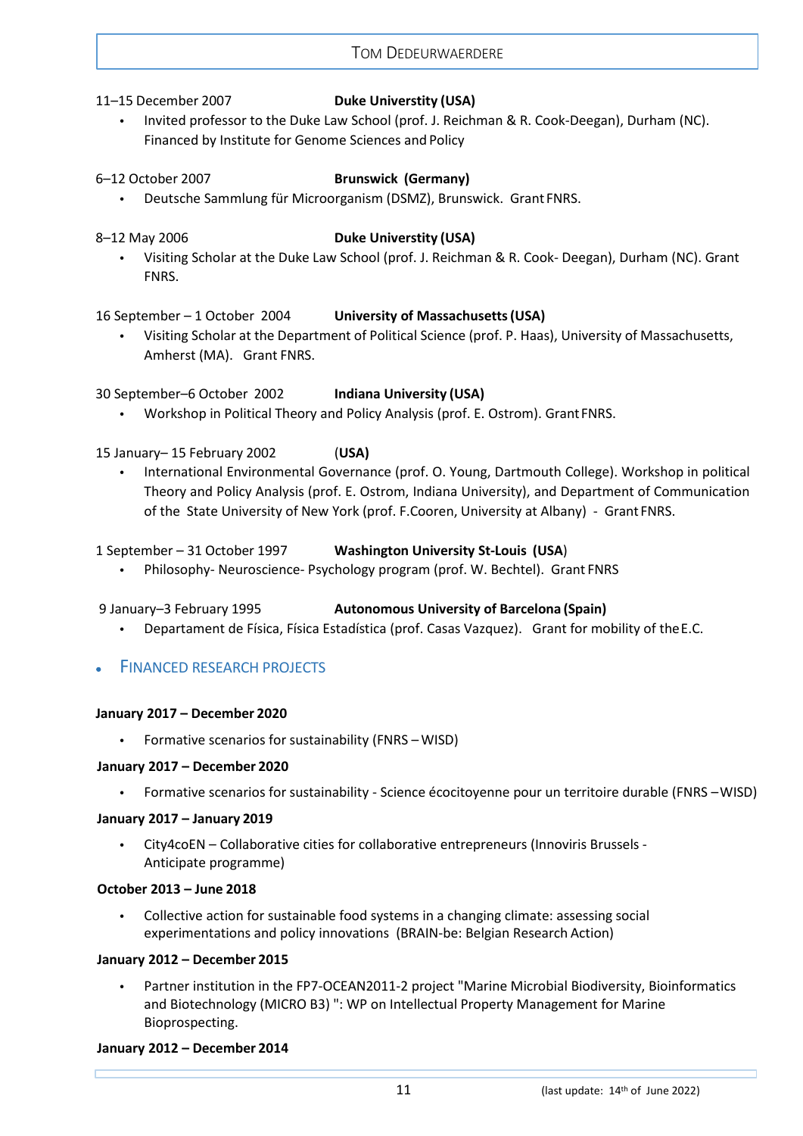### 11–15 December 2007 **Duke Universtity (USA)**

**•** Invited professor to the Duke Law School (prof. J. Reichman & R. Cook-Deegan), Durham (NC). Financed by Institute for Genome Sciences and Policy

#### 6–12 October 2007 **Brunswick (Germany)**

- **•** Deutsche Sammlung für Microorganism (DSMZ), Brunswick. Grant FNRS.
- 

### 8–12 May 2006 **Duke Universtity (USA)**

**•** Visiting Scholar at the Duke Law School (prof. J. Reichman & R. Cook- Deegan), Durham (NC). Grant FNRS.

### 16 September – 1 October 2004 **University of Massachusetts(USA)**

**•** Visiting Scholar at the Department of Political Science (prof. P. Haas), University of Massachusetts, Amherst (MA). Grant FNRS.

30 September–6 October 2002 **Indiana University (USA)**

**•** Workshop in Political Theory and Policy Analysis (prof. E. Ostrom). GrantFNRS.

## 15 January– 15 February 2002 (**USA)**

**•** International Environmental Governance (prof. O. Young, Dartmouth College). Workshop in political Theory and Policy Analysis (prof. E. Ostrom, Indiana University), and Department of Communication of the State University of New York (prof. F.Cooren, University at Albany) - Grant FNRS.

#### 1 September – 31 October 1997 **Washington University St-Louis (USA**)

**•** Philosophy- Neuroscience- Psychology program (prof. W. Bechtel). Grant FNRS

### 9 January–3 February 1995 **Autonomous University of Barcelona (Spain)**

**•** Departament de Física, Física Estadística (prof. Casas Vazquez). Grant for mobility of theE.C.

# <span id="page-10-0"></span>**FINANCED RESEARCH PROJECTS**

### **January 2017 – December 2020**

**•** Formative scenarios for sustainability (FNRS – WISD)

#### **January 2017 – December 2020**

**•** Formative scenarios for sustainability - Science écocitoyenne pour un territoire durable (FNRS –WISD)

#### **January 2017 – January 2019**

**•** City4coEN – Collaborative cities for collaborative entrepreneurs (Innoviris Brussels - Anticipate programme)

#### **October 2013 – June 2018**

**•** Collective action for sustainable food systems in a changing climate: assessing social experimentations and policy innovations (BRAIN-be: Belgian Research Action)

#### **January 2012 – December 2015**

**•** Partner institution in the FP7-OCEAN2011-2 project "Marine Microbial Biodiversity, Bioinformatics and Biotechnology (MICRO B3) ": WP on Intellectual Property Management for Marine Bioprospecting.

### **January 2012 – December 2014**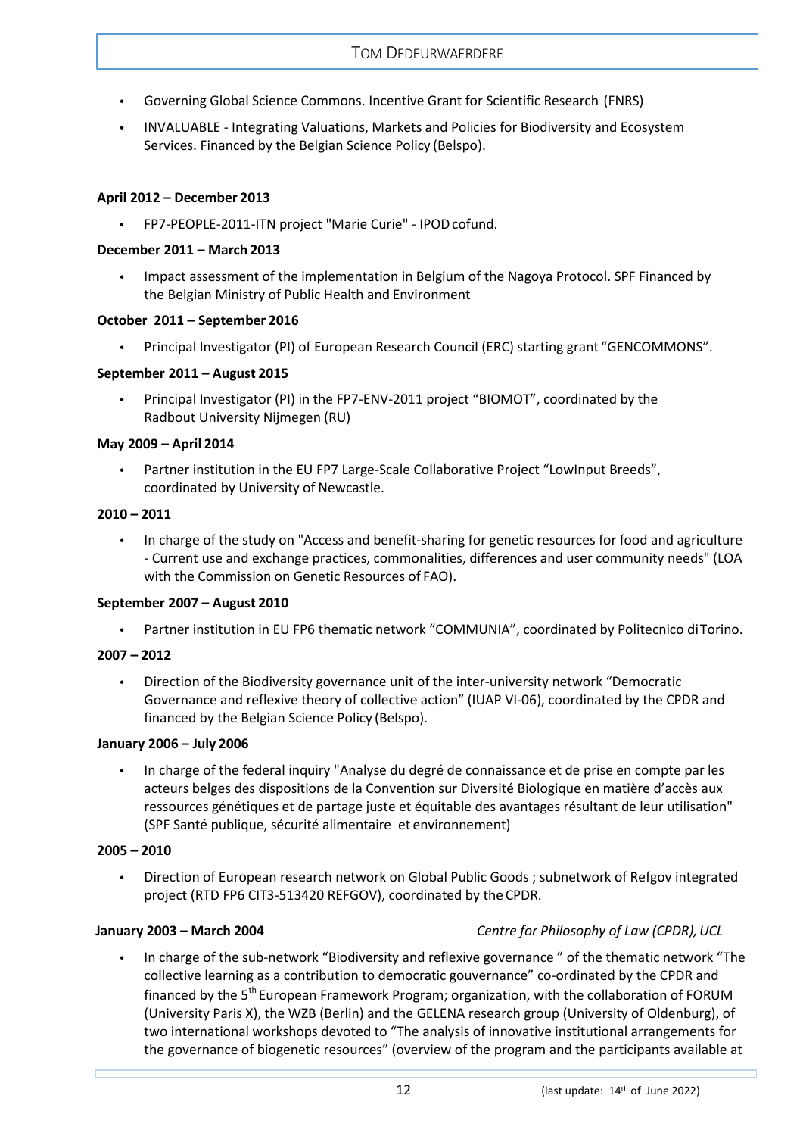- **•** Governing Global Science Commons. Incentive Grant for Scientific Research (FNRS)
- **•** INVALUABLE Integrating Valuations, Markets and Policies for Biodiversity and Ecosystem Services. Financed by the Belgian Science Policy (Belspo).

#### **April 2012 – December 2013**

**•** FP7-PEOPLE-2011-ITN project "Marie Curie" - IPODcofund.

#### **December 2011 – March 2013**

**•** Impact assessment of the implementation in Belgium of the Nagoya Protocol. SPF Financed by the Belgian Ministry of Public Health and Environment

#### **October 2011 – September 2016**

**•** Principal Investigator (PI) of European Research Council (ERC) starting grant "GENCOMMONS".

#### **September 2011 – August 2015**

**•** Principal Investigator (PI) in the FP7-ENV-2011 project "BIOMOT", coordinated by the Radbout University Nijmegen (RU)

### **May 2009 – April 2014**

**•** Partner institution in the EU FP7 Large-Scale Collaborative Project "LowInput Breeds", coordinated by University of Newcastle.

#### **2010 – 2011**

**•** In charge of the study on "Access and benefit-sharing for genetic resources for food and agriculture - Current use and exchange practices, commonalities, differences and user community needs" (LOA with the Commission on Genetic Resources of FAO).

#### **September 2007 – August 2010**

**•** Partner institution in EU FP6 thematic network "COMMUNIA", coordinated by Politecnico diTorino.

### **2007 – 2012**

**•** Direction of the Biodiversity governance unit of the inter-university network "Democratic Governance and reflexive theory of collective action" (IUAP VI-06), coordinated by the CPDR and financed by the Belgian Science Policy (Belspo).

#### **January 2006 – July 2006**

**•** In charge of the federal inquiry "Analyse du degré de connaissance et de prise en compte par les acteurs belges des dispositions de la Convention sur Diversité Biologique en matière d'accès aux ressources génétiques et de partage juste et équitable des avantages résultant de leur utilisation" (SPF Santé publique, sécurité alimentaire et environnement)

#### **2005 – 2010**

**•** Direction of European research network on Global Public Goods ; subnetwork of Refgov integrated project (RTD FP6 CIT3-513420 REFGOV), coordinated by theCPDR.

### **January 2003 – March 2004** *Centre for Philosophy of Law (CPDR),UCL*

**•** In charge of the sub-network "Biodiversity and reflexive governance " of the thematic network "The collective learning as a contribution to democratic gouvernance" co-ordinated by the CPDR and financed by the 5<sup>th</sup> European Framework Program; organization, with the collaboration of FORUM (University Paris X), the WZB (Berlin) and the GELENA research group (University of Oldenburg), of two international workshops devoted to "The analysis of innovative institutional arrangements for the governance of biogenetic resources" (overview of the program and the participants available at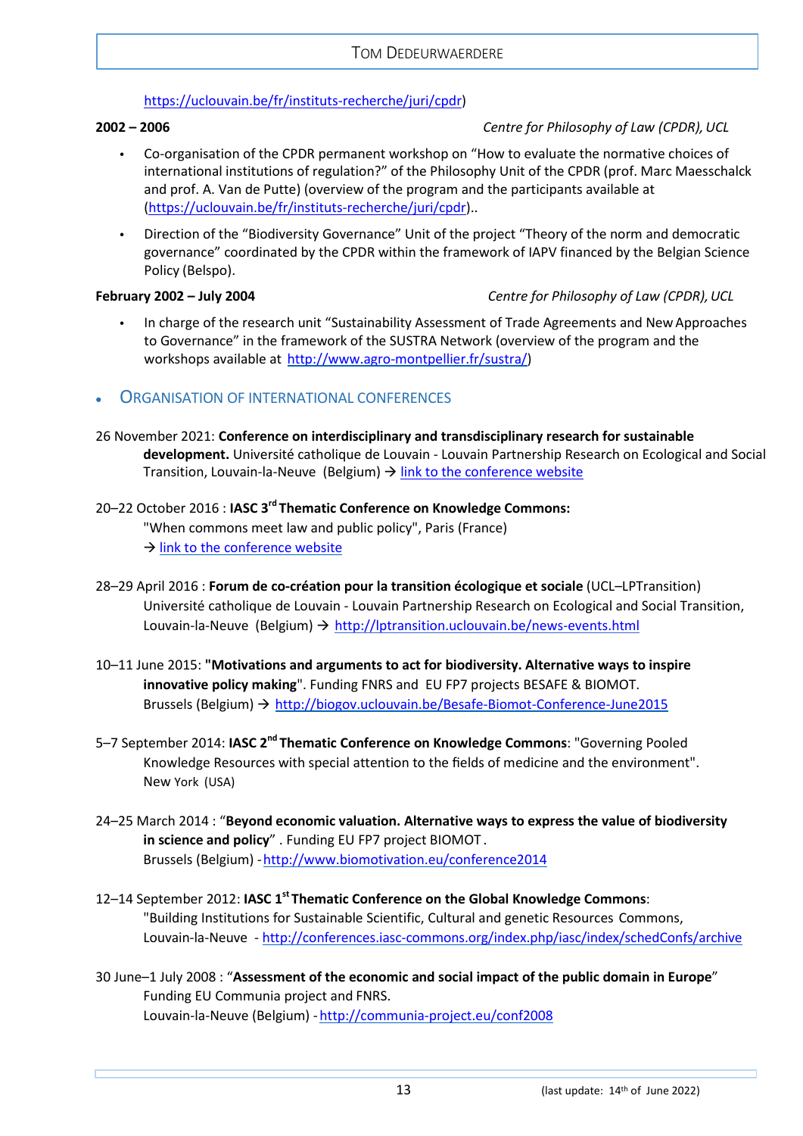### [https://uclouvain.be/fr/instituts-recherche/juri/cpdr\)](https://uclouvain.be/fr/instituts-recherche/juri/cpdr)

### **2002 – 2006** *Centre for Philosophy of Law (CPDR),UCL*

- **•** Co-organisation of the CPDR permanent workshop on "How to evaluate the normative choices of international institutions of regulation?" of the Philosophy Unit of the CPDR (prof. Marc Maesschalck and prof. A. Van de Putte) (overview of the program and the participants available at [\(https://uclouvain.be/fr/instituts-recherche/juri/cpdr\)](https://uclouvain.be/fr/instituts-recherche/juri/cpdr)..
- **•** Direction of the "Biodiversity Governance" Unit of the project "Theory of the norm and democratic governance" coordinated by the CPDR within the framework of IAPV financed by the Belgian Science Policy (Belspo).

## **February 2002 – July 2004** *Centre for Philosophy of Law (CPDR),UCL*

- **•** In charge of the research unit "Sustainability Assessment of Trade Agreements and NewApproaches to Governance" in the framework of the SUSTRA Network (overview of the program and the workshops available at http://www.agro-montpellier.fr/sustra/
- <span id="page-12-0"></span>• ORGANISATION OF INTERNATIONAL CONFERENCES
- 26 November 2021: **Conference on interdisciplinary and transdisciplinary research for sustainable development.** Université catholique de Louvain - Louvain Partnership Research on Ecological and Social Transition, Louvain-la-Neuve (Belgium)  $\rightarrow$  [link to the conference website](https://uclouvain.be/en/discover/university-transition/conference-sur-la-recherche-interdisciplinaire-et-transdisciplinaire-ldquo-transition-et-developpement-durable.html)

# 20–22 October 2016 : **IASC 3rd Thematic Conference on Knowledge Commons:**

"When commons meet law and public policy", Paris (France)  $\rightarrow$  [link to the conference website](http://conferences.iasc-commons.org/index.php/iasc/3rdKnowledgeCommonsConference)

- 28–29 April 2016 : **Forum de co-création pour la transition écologique et sociale** (UCL–LPTransition) Université catholique de Louvain - Louvain Partnership Research on Ecological and Social Transition, Louvain-la-Neuve (Belgium)  $\rightarrow$  <http://lptransition.uclouvain.be/news-events.html>
- 10–11 June 2015: **"Motivations and arguments to act for biodiversity. Alternative ways to inspire innovative policy making**". Funding FNRS and EU FP7 projects BESAFE & BIOMOT. Brussels (Belgium) <http://biogov.uclouvain.be/Besafe-Biomot-Conference-June2015>
- 5–7 September 2014: **IASC 2nd Thematic Conference on Knowledge Commons**: "Governing Pooled Knowledge Resources with special attention to the fields of medicine and the environment". New York (USA)
- 24–25 March 2014 : "**Beyond economic valuation. Alternative ways to express the value of biodiversity in science and policy**" . Funding EU FP7 project BIOMOT . Brussels (Belgium) [-http://www.biomotivation.eu/conference2014](http://www.biomotivation.eu/conference2014)
- 12–14 September 2012: **IASC 1st Thematic Conference on the Global Knowledge Commons**: "Building Institutions for Sustainable Scientific, Cultural and genetic Resources Commons, Louvain-la-Neuve - <http://conferences.iasc-commons.org/index.php/iasc/index/schedConfs/archive>
- 30 June–1 July 2008 : "**Assessment of the economic and social impact of the public domain in Europe**" Funding EU Communia project and FNRS. Louvain-la-Neuve (Belgium) - http://communia-project.eu/conf2008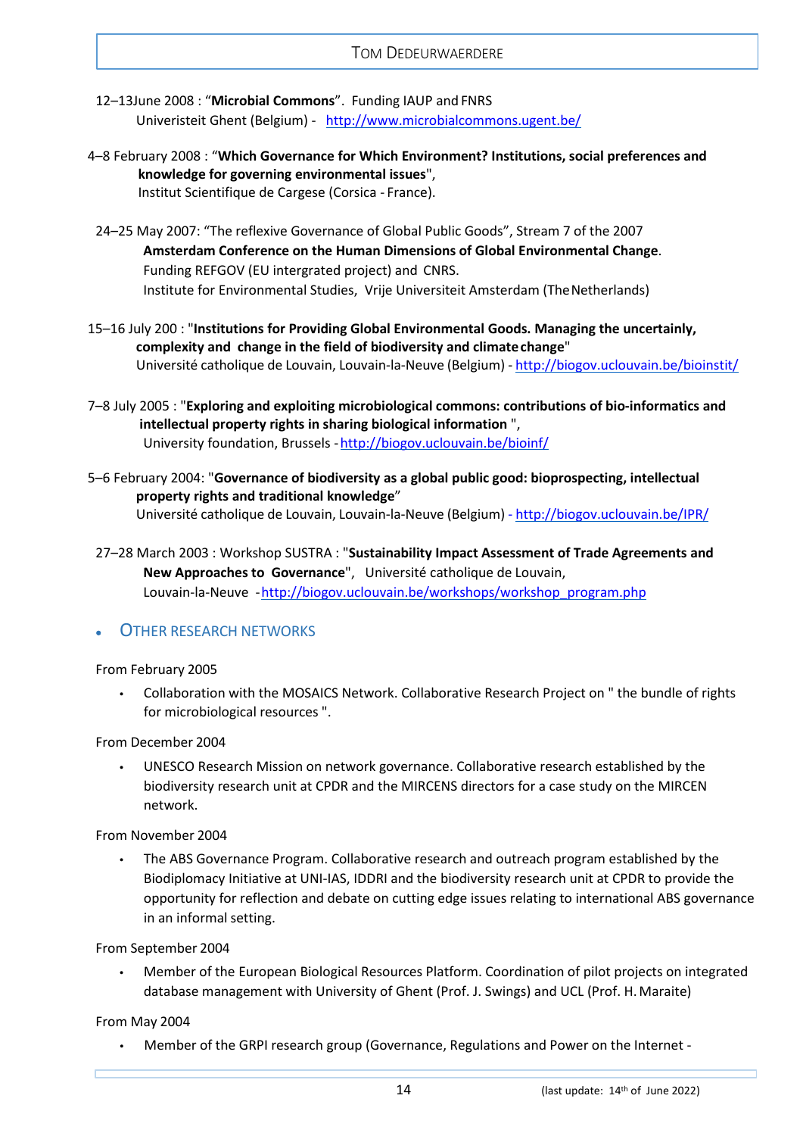- 12–13June 2008 : "**Microbial Commons**". Funding IAUP and FNRS Univeristeit Ghent (Belgium) - <http://www.microbialcommons.ugent.be/>
- 4–8 February 2008 : "**Which Governance for Which Environment? Institutions, social preferences and knowledge for governing environmental issues**", Institut Scientifique de Cargese (Corsica - France).
- 24–25 May 2007: "The reflexive Governance of Global Public Goods", Stream 7 of the 2007 **Amsterdam Conference on the Human Dimensions of Global Environmental Change**. Funding REFGOV (EU intergrated project) and CNRS. Institute for Environmental Studies, Vrije Universiteit Amsterdam (TheNetherlands)
- 15–16 July 200 : "**Institutions for Providing Global Environmental Goods. Managing the uncertainly, complexity and change in the field of biodiversity and climatechange**" Université catholique de Louvain, Louvain-la-Neuve (Belgium) - <http://biogov.uclouvain.be/bioinstit/>
- 7–8 July 2005 : "**Exploring and exploiting microbiological commons: contributions of bio-informatics and intellectual property rights in sharing biological information** ", University foundation, Brussels - http://biogov.uclouvain.be/bioinf/
- 5–6 February 2004: "**Governance of biodiversity as a global public good: bioprospecting, intellectual property rights and traditional knowledge**" Université catholique de Louvain, Louvain-la-Neuve (Belgium) - <http://biogov.uclouvain.be/IPR/>
- 27–28 March 2003 : Workshop SUSTRA : "**Sustainability Impact Assessment of Trade Agreements and New Approaches to Governance**", Université catholique de Louvain, Louvain-la-Neuve - http://biogov.uclouvain.be/workshops/workshop\_program.php
- <span id="page-13-0"></span>**OTHER RESEARCH NETWORKS**

From February 2005

**•** Collaboration with the MOSAICS Network. Collaborative Research Project on " the bundle of rights for microbiological resources ".

From December 2004

**•** UNESCO Research Mission on network governance. Collaborative research established by the biodiversity research unit at CPDR and the MIRCENS directors for a case study on the MIRCEN network.

From November 2004

**•** The ABS Governance Program. Collaborative research and outreach program established by the Biodiplomacy Initiative at UNI-IAS, IDDRI and the biodiversity research unit at CPDR to provide the opportunity for reflection and debate on cutting edge issues relating to international ABS governance in an informal setting.

From September 2004

**•** Member of the European Biological Resources Platform. Coordination of pilot projects on integrated database management with University of Ghent (Prof. J. Swings) and UCL (Prof. H.Maraite)

From May 2004

**•** Member of the GRPI research group (Governance, Regulations and Power on the Internet -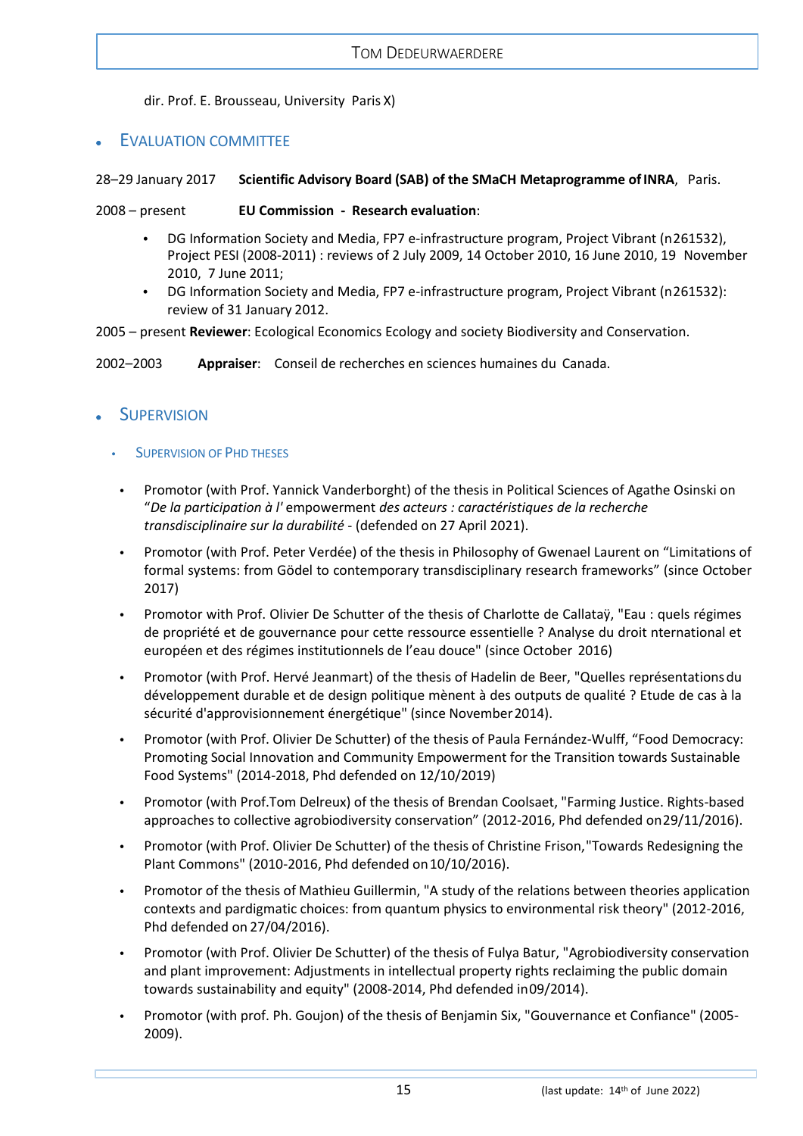dir. Prof. E. Brousseau, University Paris X)

## <span id="page-14-0"></span>**EVALUATION COMMITTEE**

#### 28–29 January 2017 **Scientific Advisory Board (SAB) of the SMaCH Metaprogramme ofINRA**, Paris.

2008 – present **EU Commission - Research evaluation**:

- **•** DG Information Society and Media, FP7 e-infrastructure program, Project Vibrant (n261532), Project PESI (2008-2011) : reviews of 2 July 2009, 14 October 2010, 16 June 2010, 19 November 2010, 7 June 2011;
- **•** DG Information Society and Media, FP7 e-infrastructure program, Project Vibrant (n261532): review of 31 January 2012.

2005 – present **Reviewer**: Ecological Economics Ecology and society Biodiversity and Conservation.

2002–2003 **Appraiser**: Conseil de recherches en sciences humaines du Canada.

# <span id="page-14-2"></span><span id="page-14-1"></span>**SUPERVISION**

- **SUPERVISION OF PHD THESES**
- **•** Promotor (with Prof. Yannick Vanderborght) of the thesis in Political Sciences of Agathe Osinski on "*De la participation à l'* empowerment *des acteurs : caractéristiques de la recherche transdisciplinaire sur la durabilité* - (defended on 27 April 2021).
- **•** Promotor (with Prof. Peter Verdée) of the thesis in Philosophy of Gwenael Laurent on "Limitations of formal systems: from Gödel to contemporary transdisciplinary research frameworks" (since October 2017)
- **•** Promotor with Prof. Olivier De Schutter of the thesis of Charlotte de Callataÿ, "Eau : quels régimes de propriété et de gouvernance pour cette ressource essentielle ? Analyse du droit nternational et européen et des régimes institutionnels de l'eau douce" (since October 2016)
- **•** Promotor (with Prof. Hervé Jeanmart) of the thesis of Hadelin de Beer, "Quelles représentationsdu développement durable et de design politique mènent à des outputs de qualité ? Etude de cas à la sécurité d'approvisionnement énergétique" (since November2014).
- **•** Promotor (with Prof. Olivier De Schutter) of the thesis of Paula Fernández-Wulff, "Food Democracy: Promoting Social Innovation and Community Empowerment for the Transition towards Sustainable Food Systems" (2014-2018, Phd defended on 12/10/2019)
- **•** Promotor (with Prof.Tom Delreux) of the thesis of Brendan Coolsaet, "Farming Justice. Rights-based approaches to collective agrobiodiversity conservation" (2012-2016, Phd defended on29/11/2016).
- **•** Promotor (with Prof. Olivier De Schutter) of the thesis of Christine Frison,"Towards Redesigning the Plant Commons" (2010-2016, Phd defended on10/10/2016).
- **•** Promotor of the thesis of Mathieu Guillermin, "A study of the relations between theories application contexts and pardigmatic choices: from quantum physics to environmental risk theory" (2012-2016, Phd defended on 27/04/2016).
- **•** Promotor (with Prof. Olivier De Schutter) of the thesis of Fulya Batur, "Agrobiodiversity conservation and plant improvement: Adjustments in intellectual property rights reclaiming the public domain towards sustainability and equity" (2008-2014, Phd defended in09/2014).
- **•** Promotor (with prof. Ph. Goujon) of the thesis of Benjamin Six, "Gouvernance et Confiance" (2005- 2009).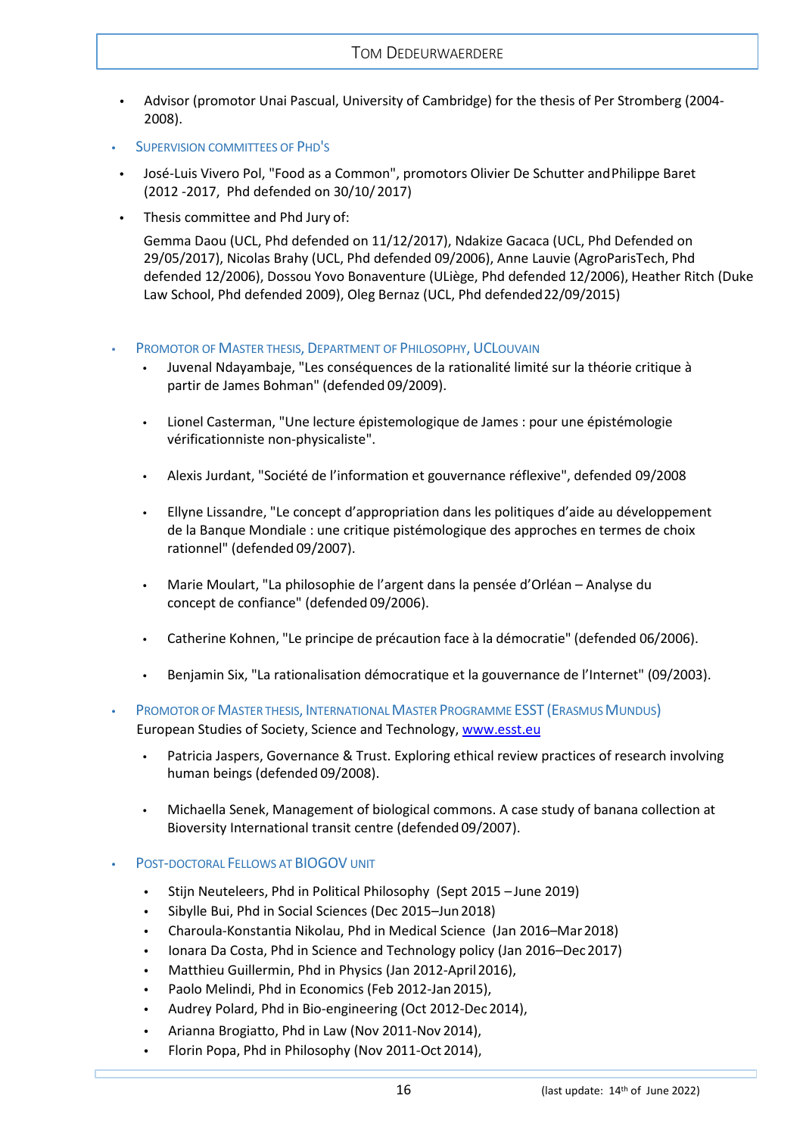- **•** Advisor (promotor Unai Pascual, University of Cambridge) for the thesis of Per Stromberg (2004- 2008).
- <span id="page-15-0"></span>**•** SUPERVISION COMMITTEES OF PHD'S
- **•** José-Luis Vivero Pol, "Food as a Common", promotors Olivier De Schutter andPhilippe Baret (2012 -2017, Phd defended on 30/10/ 2017)
- **•** Thesis committee and Phd Jury of:

Gemma Daou (UCL, Phd defended on 11/12/2017), Ndakize Gacaca (UCL, Phd Defended on 29/05/2017), Nicolas Brahy (UCL, Phd defended 09/2006), Anne Lauvie (AgroParisTech, Phd defended 12/2006), Dossou Yovo Bonaventure (ULiège, Phd defended 12/2006), Heather Ritch (Duke Law School, Phd defended 2009), Oleg Bernaz (UCL, Phd defended22/09/2015)

#### <span id="page-15-1"></span>**PROMOTOR OF MASTER THESIS, DEPARTMENT OF PHILOSOPHY, UCLOUVAIN**

- **•** Juvenal Ndayambaje, "Les conséquences de la rationalité limité sur la théorie critique à partir de James Bohman" (defended 09/2009).
- **•** Lionel Casterman, "Une lecture épistemologique de James : pour une épistémologie vérificationniste non-physicaliste".
- **•** Alexis Jurdant, "Société de l'information et gouvernance réflexive", defended 09/2008
- **•** Ellyne Lissandre, "Le concept d'appropriation dans les politiques d'aide au développement de la Banque Mondiale : une critique pistémologique des approches en termes de choix rationnel" (defended 09/2007).
- **•** Marie Moulart, "La philosophie de l'argent dans la pensée d'Orléan Analyse du concept de confiance" (defended 09/2006).
- **•** Catherine Kohnen, "Le principe de précaution face à la démocratie" (defended 06/2006).
- **•** Benjamin Six, "La rationalisation démocratique et la gouvernance de l'Internet" (09/2003).

<span id="page-15-2"></span>**PROMOTOR OF MASTER THESIS, INTERNATIONAL MASTER PROGRAMME ESST (ERASMUS MUNDUS)** European Studies of Society, Science and Technology, [www.esst.eu](http://www.esst.eu/)

- **•** Patricia Jaspers, Governance & Trust. Exploring ethical review practices of research involving human beings (defended 09/2008).
- **•** Michaella Senek, Management of biological commons. A case study of banana collection at Bioversity International transit centre (defended 09/2007).
- <span id="page-15-3"></span>**•** POST-DOCTORAL FELLOWS AT BIOGOV UNIT
	- **•** Stijn Neuteleers, Phd in Political Philosophy (Sept 2015 June 2019)
	- **•** Sibylle Bui, Phd in Social Sciences (Dec 2015–Jun2018)
	- **•** Charoula-Konstantia Nikolau, Phd in Medical Science (Jan 2016–Mar2018)
	- **•** Ionara Da Costa, Phd in Science and Technology policy (Jan 2016–Dec2017)
	- **•** Matthieu Guillermin, Phd in Physics (Jan 2012-April2016),
	- **•** Paolo Melindi, Phd in Economics (Feb 2012-Jan 2015),
	- **•** Audrey Polard, Phd in Bio-engineering (Oct 2012-Dec 2014),
	- **•** Arianna Brogiatto, Phd in Law (Nov 2011-Nov 2014),
	- **•** Florin Popa, Phd in Philosophy (Nov 2011-Oct 2014),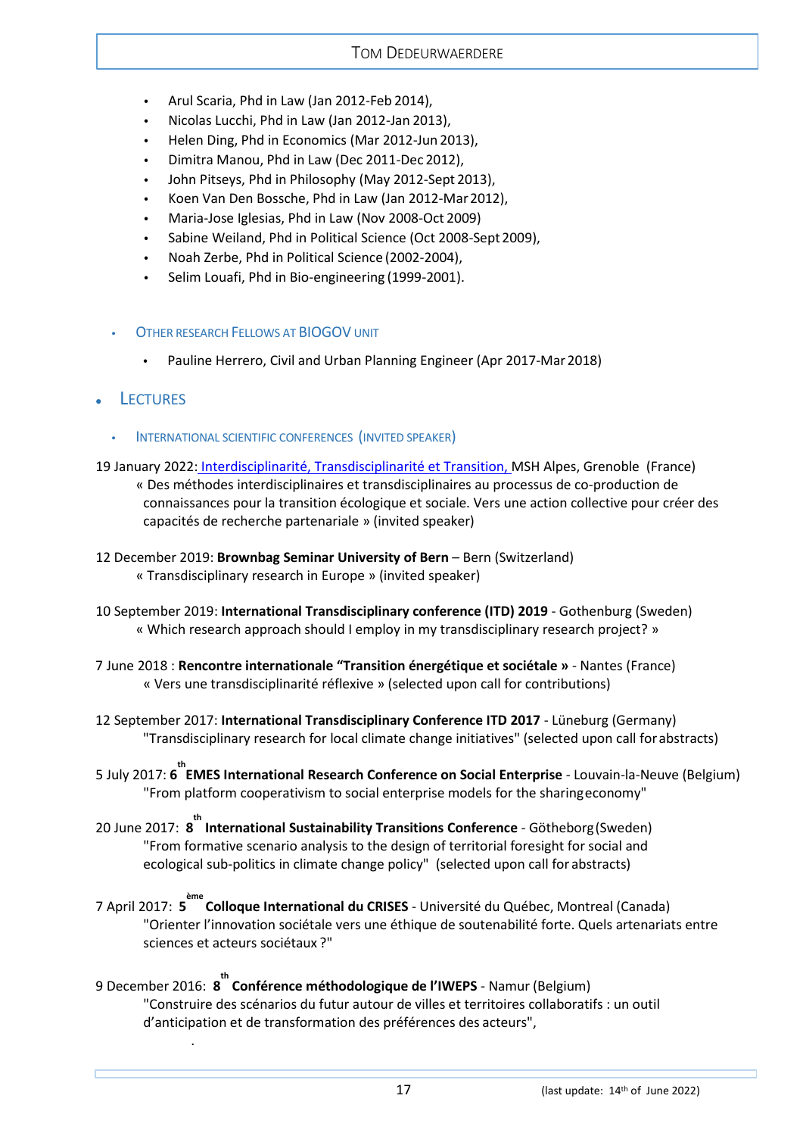- **•** Arul Scaria, Phd in Law (Jan 2012-Feb 2014),
- **•** Nicolas Lucchi, Phd in Law (Jan 2012-Jan 2013),
- **•** Helen Ding, Phd in Economics (Mar 2012-Jun 2013),
- **•** Dimitra Manou, Phd in Law (Dec 2011-Dec 2012),
- **•** John Pitseys, Phd in Philosophy (May 2012-Sept 2013),
- **•** Koen Van Den Bossche, Phd in Law (Jan 2012-Mar2012),
- **•** Maria-Jose Iglesias, Phd in Law (Nov 2008-Oct 2009)
- Sabine Weiland, Phd in Political Science (Oct 2008-Sept 2009),
- **•** Noah Zerbe, Phd in Political Science (2002-2004),
- **•** Selim Louafi, Phd in Bio-engineering (1999-2001).
- <span id="page-16-0"></span>**OTHER RESEARCH FELLOWS AT BIOGOV UNIT** 
	- **•** Pauline Herrero, Civil and Urban Planning Engineer (Apr 2017-Mar2018)
- <span id="page-16-2"></span><span id="page-16-1"></span>**LECTURES**

.

- **•** INTERNATIONAL SCIENTIFIC CONFERENCES (INVITED SPEAKER)
- 19 January 2022: [Interdisciplinarité, Transdisciplinarité et Transition, M](https://www.msh-alpes.fr/actualites/nterdisciplinarite-transdisciplinarite-transition-dedeurwaerdere)SH Alpes, Grenoble (France)
	- « Des méthodes interdisciplinaires et transdisciplinaires au processus de co-production de connaissances pour la transition écologique et sociale. Vers une action collective pour créer des capacités de recherche partenariale » (invited speaker)
- 12 December 2019: **Brownbag Seminar University of Bern** Bern (Switzerland) « Transdisciplinary research in Europe » (invited speaker)
- 10 September 2019: **International Transdisciplinary conference (ITD) 2019** Gothenburg (Sweden) « Which research approach should I employ in my transdisciplinary research project? »
- 7 June 2018 : **Rencontre internationale "Transition énergétique et sociétale »** Nantes (France) « Vers une transdisciplinarité réflexive » (selected upon call for contributions)
- 12 September 2017: **International Transdisciplinary Conference ITD 2017**  Lüneburg (Germany) "Transdisciplinary research for local climate change initiatives" (selected upon call forabstracts)
- 5 July 2017: **6 th EMES International Research Conference on Social Enterprise**  Louvain-la-Neuve (Belgium) "From platform cooperativism to social enterprise models for the sharingeconomy"
- 20 June 2017: **8 th International Sustainability Transitions Conference**  Götheborg(Sweden) "From formative scenario analysis to the design of territorial foresight for social and ecological sub-politics in climate change policy" (selected upon call for abstracts)
- 7 April 2017: **5 ème Colloque International du CRISES** - Université du Québec, Montreal (Canada) "Orienter l'innovation sociétale vers une éthique de soutenabilité forte. Quels artenariats entre sciences et acteurs sociétaux ?"
- 9 December 2016: **8 th Conférence méthodologique de l'IWEPS**  Namur (Belgium) "Construire des scénarios du futur autour de villes et territoires collaboratifs : un outil d'anticipation et de transformation des préférences des acteurs",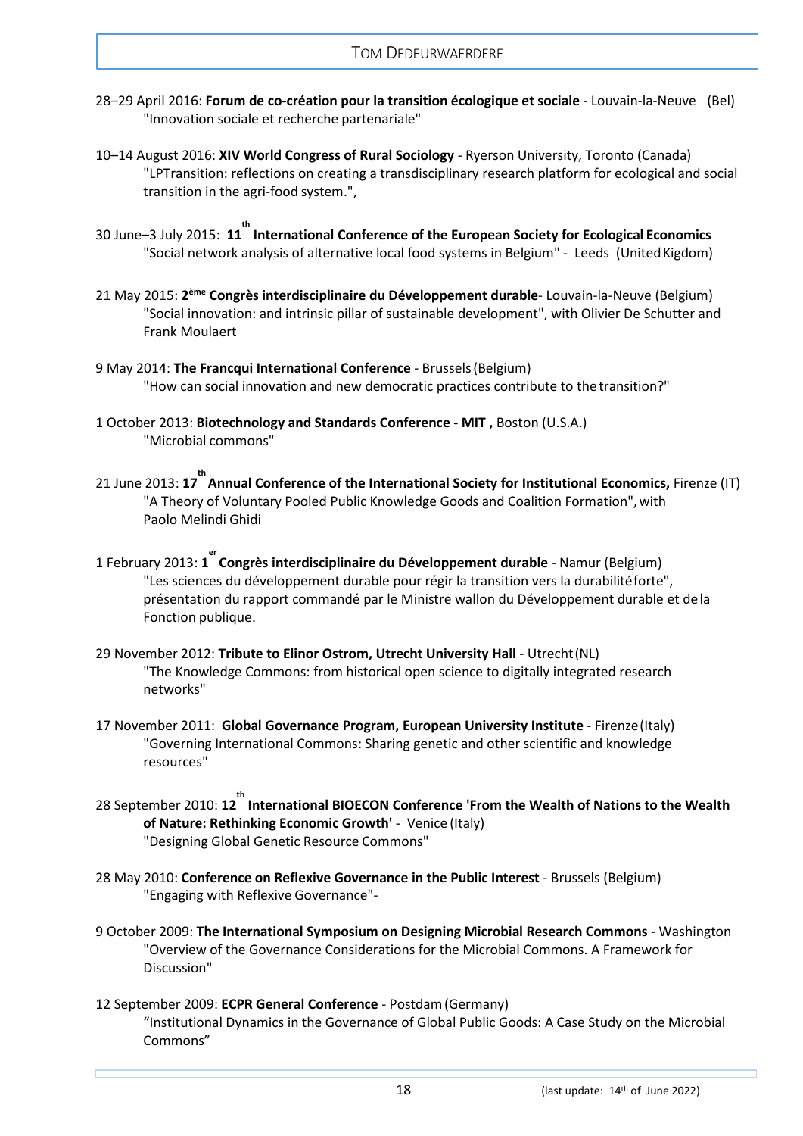- 28–29 April 2016: **Forum de co-création pour la transition écologique et sociale**  Louvain-la-Neuve (Bel) "Innovation sociale et recherche partenariale"
- 10–14 August 2016: **XIV World Congress of Rural Sociology**  Ryerson University, Toronto (Canada) "LPTransition: reflections on creating a transdisciplinary research platform for ecological and social transition in the agri-food system.",
- 30 June–3 July 2015: **11 th International Conference of the European Society for Ecological Economics** "Social network analysis of alternative local food systems in Belgium" - Leeds (United Kigdom)
- 21 May 2015: **2ème Congrès interdisciplinaire du Développement durable** Louvain-la-Neuve (Belgium) "Social innovation: and intrinsic pillar of sustainable development", with Olivier De Schutter and Frank Moulaert
- 9 May 2014: **The Francqui International Conference**  Brussels(Belgium) "How can social innovation and new democratic practices contribute to the transition?"
- 1 October 2013: **Biotechnology and Standards Conference - MIT ,** Boston (U.S.A.) "Microbial commons"
- 21 June 2013: **17 th Annual Conference of the International Society for Institutional Economics,** Firenze (IT) "A Theory of Voluntary Pooled Public Knowledge Goods and Coalition Formation", with Paolo Melindi Ghidi
- 1 February 2013: 1<sup>er</sup> Congrès interdisciplinaire du Développement durable Namur (Belgium) "Les sciences du développement durable pour régir la transition vers la durabilitéforte", présentation du rapport commandé par le Ministre wallon du Développement durable et de la Fonction publique.
- 29 November 2012: **Tribute to Elinor Ostrom, Utrecht University Hall**  Utrecht(NL) "The Knowledge Commons: from historical open science to digitally integrated research networks"
- 17 November 2011: **Global Governance Program, European University Institute**  Firenze(Italy) "Governing International Commons: Sharing genetic and other scientific and knowledge resources"
- 28 September 2010: 12<sup>th</sup> Int<mark>ernational BIOECON Conference 'From the Wealth of Nations to the Wealth</mark> **of Nature: Rethinking Economic Growth'** - Venice (Italy) "Designing Global Genetic Resource Commons"
- 28 May 2010: **Conference on Reflexive Governance in the Public Interest**  Brussels (Belgium) "Engaging with Reflexive Governance"-
- 9 October 2009: **The International Symposium on Designing Microbial Research Commons**  Washington "Overview of the Governance Considerations for the Microbial Commons. A Framework for Discussion"
- 12 September 2009: **ECPR General Conference**  Postdam(Germany) "Institutional Dynamics in the Governance of Global Public Goods: A Case Study on the Microbial Commons"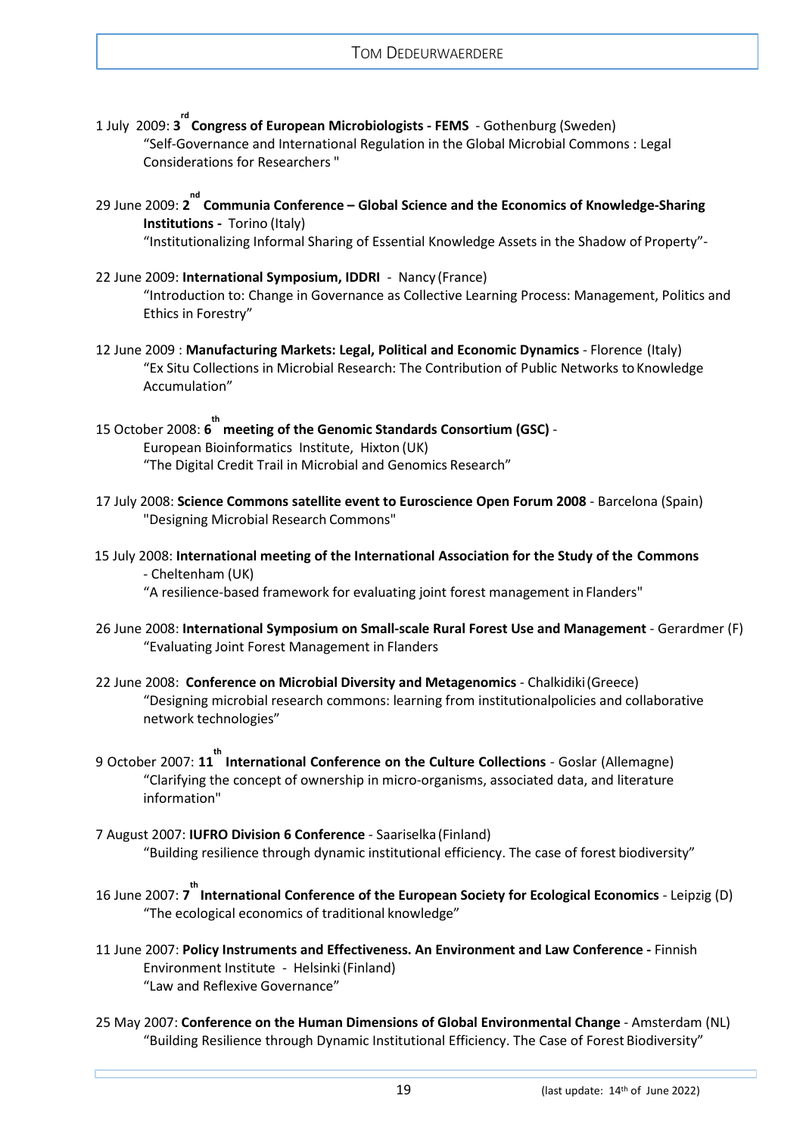- 1 July 2009: **3 rd Congress of European Microbiologists - FEMS**  Gothenburg (Sweden) "Self-Governance and International Regulation in the Global Microbial Commons : Legal Considerations for Researchers "
- **29 June 2009: 2<sup>nd</sup> Communia Conference Global Science and the Economics of Knowledge-Sharing Institutions -** Torino (Italy)

"Institutionalizing Informal Sharing of Essential Knowledge Assets in the Shadow of Property"-

- 22 June 2009: **International Symposium, IDDRI**  Nancy (France) "Introduction to: Change in Governance as Collective Learning Process: Management, Politics and Ethics in Forestry"
- 12 June 2009 : **Manufacturing Markets: Legal, Political and Economic Dynamics**  Florence (Italy) "Ex Situ Collections in Microbial Research: The Contribution of Public Networks to Knowledge Accumulation"
- 15 October 2008: **6 th meeting of the Genomic Standards Consortium (GSC)**  European Bioinformatics Institute, Hixton (UK) "The Digital Credit Trail in Microbial and Genomics Research"
- 17 July 2008: **Science Commons satellite event to Euroscience Open Forum 2008**  Barcelona (Spain) "Designing Microbial Research Commons"
- 15 July 2008: **International meeting of the International Association for the Study of the Commons** - Cheltenham (UK)

"A resilience-based framework for evaluating joint forest management inFlanders"

- 26 June 2008: **International Symposium on Small-scale Rural Forest Use and Management**  Gerardmer (F) "Evaluating Joint Forest Management in Flanders
- 22 June 2008: **Conference on Microbial Diversity and Metagenomics**  Chalkidiki(Greece) "Designing microbial research commons: learning from institutionalpolicies and collaborative network technologies"
- 9 October 2007: **11 th International Conference on the Culture Collections**  Goslar (Allemagne) "Clarifying the concept of ownership in micro-organisms, associated data, and literature information"
- 7 August 2007: **IUFRO Division 6 Conference**  Saariselka(Finland) "Building resilience through dynamic institutional efficiency. The case of forest biodiversity"
- 16 June 2007: **7 th International Conference of the European Society for Ecological Economics**  Leipzig (D) "The ecological economics of traditional knowledge"
- 11 June 2007: **Policy Instruments and Effectiveness. An Environment and Law Conference -** Finnish Environment Institute - Helsinki(Finland) "Law and Reflexive Governance"
- 25 May 2007: **Conference on the Human Dimensions of Global Environmental Change**  Amsterdam (NL) "Building Resilience through Dynamic Institutional Efficiency. The Case of Forest Biodiversity"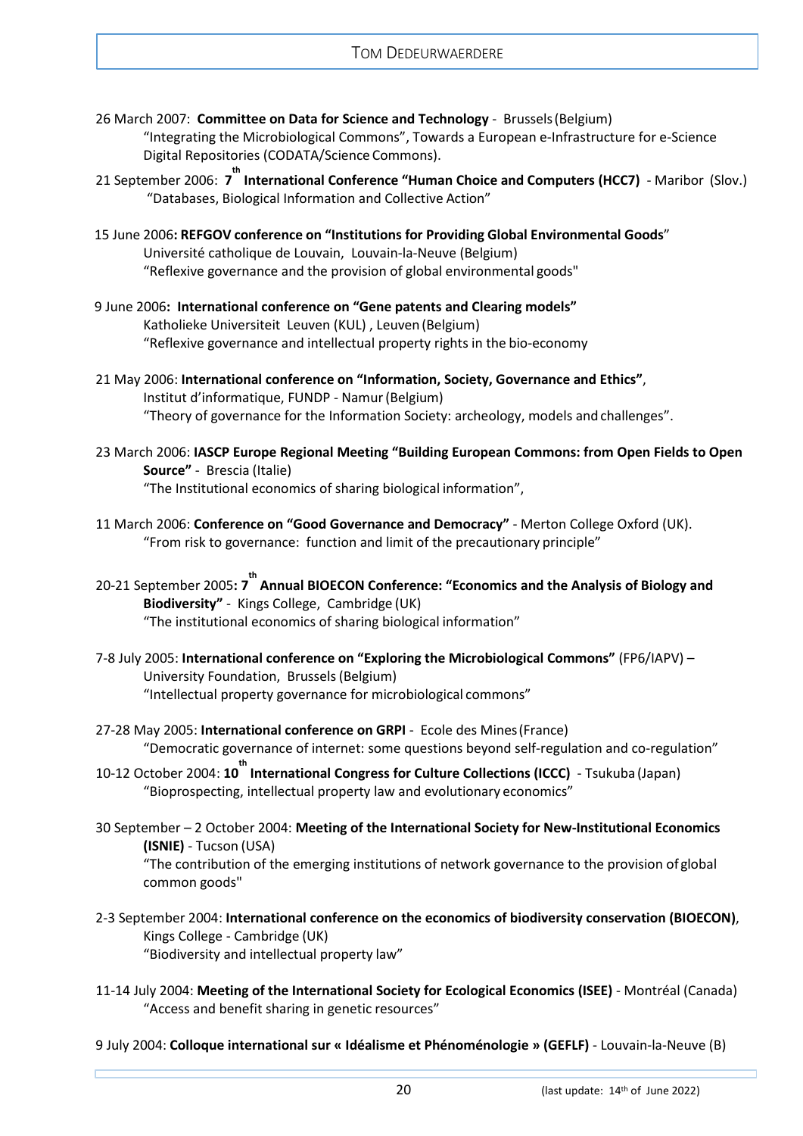- 26 March 2007: **Committee on Data for Science and Technology**  Brussels(Belgium) "Integrating the Microbiological Commons", Towards a European e-Infrastructure for e-Science Digital Repositories (CODATA/Science Commons).
- 21 September 2006: **7 th International Conference "Human Choice and Computers (HCC7)**  Maribor (Slov.) "Databases, Biological Information and Collective Action"
- 15 June 2006**: REFGOV conference on "Institutions for Providing Global Environmental Goods**" Université catholique de Louvain, Louvain-la-Neuve (Belgium) "Reflexive governance and the provision of global environmental goods"
- 9 June 2006**: International conference on "Gene patents and Clearing models"** Katholieke Universiteit Leuven (KUL) , Leuven (Belgium) "Reflexive governance and intellectual property rights in the bio-economy
- 21 May 2006: **International conference on "Information, Society, Governance and Ethics"**, Institut d'informatique, FUNDP - Namur(Belgium) "Theory of governance for the Information Society: archeology, models and challenges".
- 23 March 2006: **IASCP Europe Regional Meeting "Building European Commons: from Open Fields to Open Source"** - Brescia (Italie) "The Institutional economics of sharing biological information",
- 11 March 2006: **Conference on "Good Governance and Democracy"**  Merton College Oxford (UK). "From risk to governance: function and limit of the precautionary principle"
- 20-21 September 2005**: 7<sup>th</sup> Annual BIOECON Conference: "Economics and the Analysis of Biology and Biodiversity"** - Kings College, Cambridge (UK) "The institutional economics of sharing biological information"
- 7-8 July 2005: **International conference on "Exploring the Microbiological Commons"** (FP6/IAPV) University Foundation, Brussels(Belgium) "Intellectual property governance for microbiological commons"
- 27-28 May 2005: **International conference on GRPI**  Ecole des Mines(France) "Democratic governance of internet: some questions beyond self-regulation and co-regulation"
- 10-12 October 2004: **10 th International Congress for Culture Collections (ICCC)**  Tsukuba (Japan) "Bioprospecting, intellectual property law and evolutionary economics"
- 30 September 2 October 2004: **Meeting of the International Society for New-Institutional Economics (ISNIE)** - Tucson (USA) "The contribution of the emerging institutions of network governance to the provision of global common goods"
- 2-3 September 2004: **International conference on the economics of biodiversity conservation (BIOECON)**, Kings College - Cambridge (UK) "Biodiversity and intellectual property law"
- 11-14 July 2004: **Meeting of the International Society for Ecological Economics (ISEE)**  Montréal (Canada) "Access and benefit sharing in genetic resources"
- 9 July 2004: **Colloque international sur « Idéalisme et Phénoménologie » (GEFLF)**  Louvain-la-Neuve (B)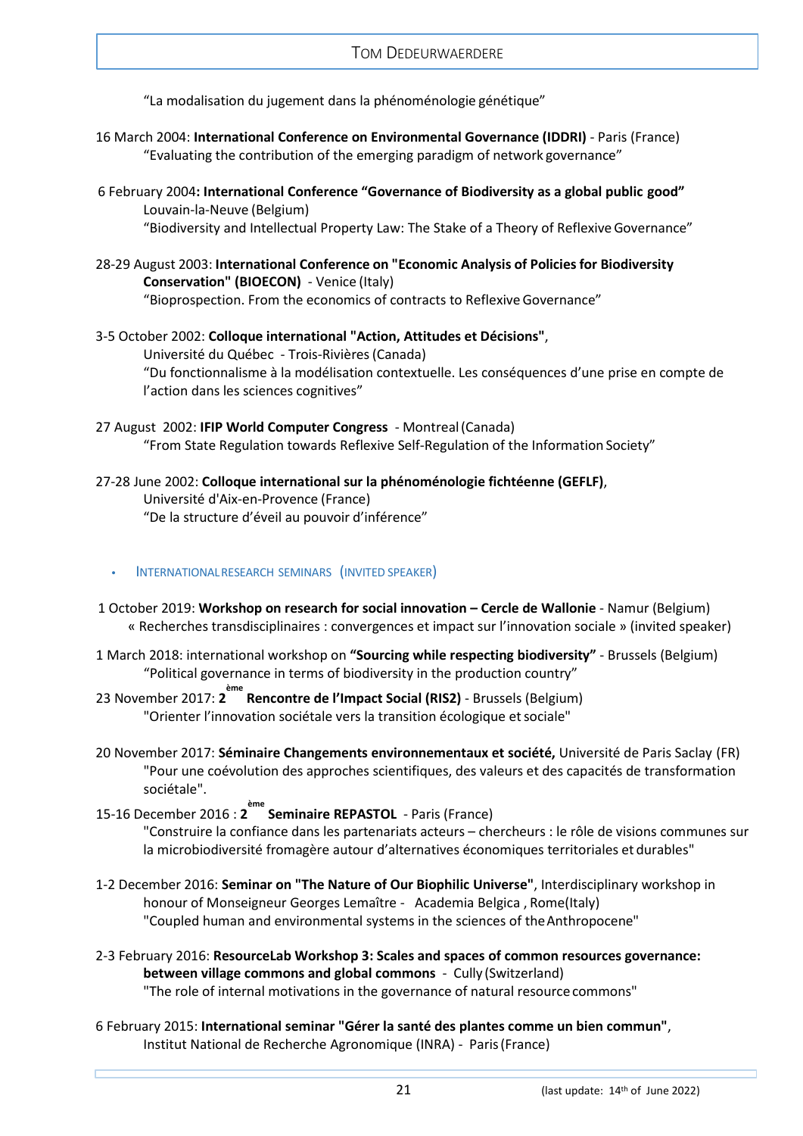"La modalisation du jugement dans la phénoménologie génétique"

- 16 March 2004: **International Conference on Environmental Governance (IDDRI)**  Paris (France) "Evaluating the contribution of the emerging paradigm of network governance"
- 6 February 2004**: International Conference "Governance of Biodiversity as a global public good"** Louvain-la-Neuve (Belgium) "Biodiversity and Intellectual Property Law: The Stake of a Theory of ReflexiveGovernance"
- 28-29 August 2003: **International Conference on "Economic Analysis of Policies for Biodiversity Conservation" (BIOECON)** - Venice (Italy) "Bioprospection. From the economics of contracts to Reflexive Governance"
- 3-5 October 2002: **Colloque international "Action, Attitudes et Décisions"**, Université du Québec - Trois-Rivières(Canada) "Du fonctionnalisme à la modélisation contextuelle. Les conséquences d'une prise en compte de l'action dans les sciences cognitives"
- 27 August 2002: **IFIP World Computer Congress**  Montreal(Canada) "From State Regulation towards Reflexive Self-Regulation of the Information Society"
- 27-28 June 2002: **Colloque international sur la phénoménologie fichtéenne (GEFLF)**, Université d'Aix-en-Provence (France) "De la structure d'éveil au pouvoir d'inférence"

### <span id="page-20-0"></span>**•** INTERNATIONALRESEARCH SEMINARS (INVITED SPEAKER)

- 1 October 2019: **Workshop on research for social innovation – Cercle de Wallonie** Namur (Belgium) « Recherches transdisciplinaires : convergences et impact sur l'innovation sociale » (invited speaker)
- 1 March 2018: international workshop on **"Sourcing while respecting biodiversity"** Brussels (Belgium) "Political governance in terms of biodiversity in the production country"
- 23 November 2017: **2 ème Rencontre de l'Impact Social (RIS2)**  Brussels (Belgium) "Orienter l'innovation sociétale vers la transition écologique et sociale"
- 20 November 2017: **Séminaire Changements environnementaux et société,** Université de Paris Saclay (FR) "Pour une coévolution des approches scientifiques, des valeurs et des capacités de transformation sociétale".
- 15-16 December 2016 : **2 ème Seminaire REPASTOL**  Paris (France)

"Construire la confiance dans les partenariats acteurs – chercheurs : le rôle de visions communes sur la microbiodiversité fromagère autour d'alternatives économiques territoriales et durables"

- 1-2 December 2016: **Seminar on "The Nature of Our Biophilic Universe"**, Interdisciplinary workshop in honour of Monseigneur Georges Lemaître - Academia Belgica , Rome(Italy) "Coupled human and environmental systems in the sciences of theAnthropocene"
- 2-3 February 2016: **ResourceLab Workshop 3: Scales and spaces of common resources governance: between village commons and global commons** - Cully (Switzerland) "The role of internal motivations in the governance of natural resource commons"
- 6 February 2015: **International seminar "Gérer la santé des plantes comme un bien commun"**, Institut National de Recherche Agronomique (INRA) - Paris(France)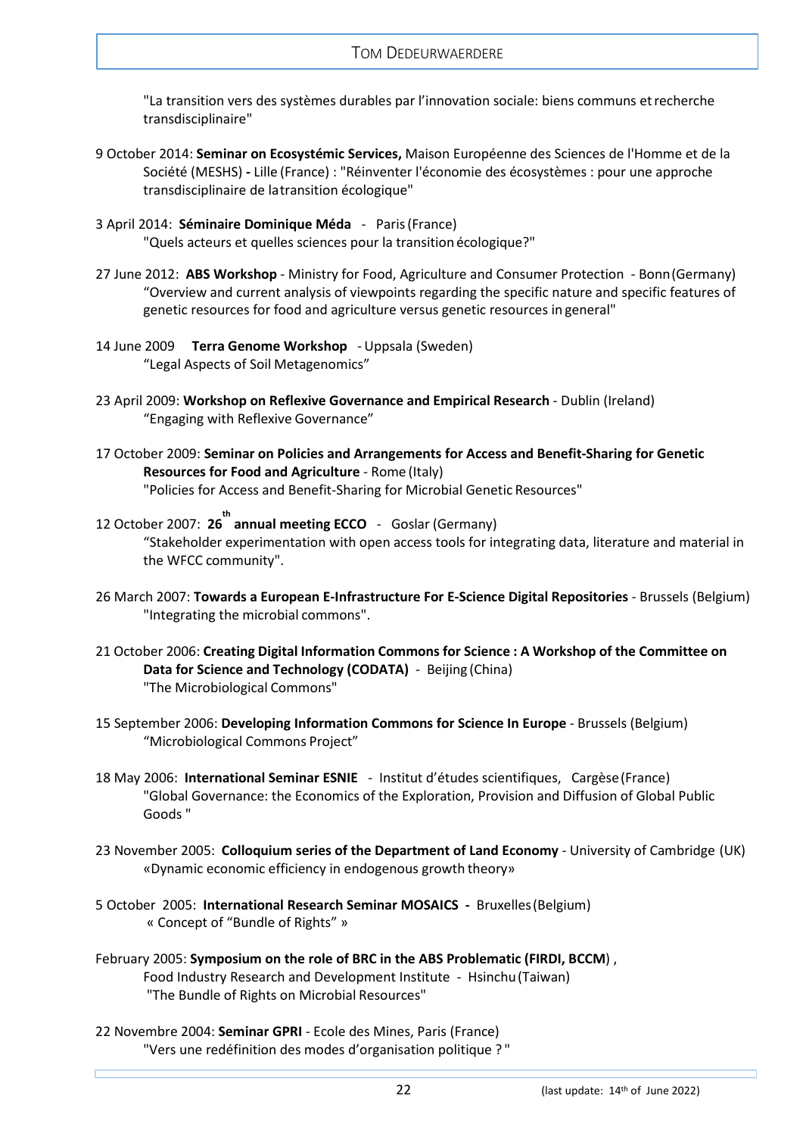"La transition vers des systèmes durables par l'innovation sociale: biens communs etrecherche transdisciplinaire"

- 9 October 2014: **Seminar on Ecosystémic Services,** Maison Européenne des Sciences de l'Homme et de la Société (MESHS) **-** Lille (France) : "Réinventer l'économie des écosystèmes : pour une approche transdisciplinaire de latransition écologique"
- 3 April 2014: **Séminaire Dominique Méda**  Paris(France) "Quels acteurs et quelles sciences pour la transition écologique?"
- 27 June 2012: **ABS Workshop**  Ministry for Food, Agriculture and Consumer Protection Bonn(Germany) "Overview and current analysis of viewpoints regarding the specific nature and specific features of genetic resources for food and agriculture versus genetic resources in general"
- 14 June 2009 **Terra Genome Workshop**  Uppsala (Sweden) "Legal Aspects of Soil Metagenomics"
- 23 April 2009: **Workshop on Reflexive Governance and Empirical Research**  Dublin (Ireland) "Engaging with Reflexive Governance"
- 17 October 2009: **Seminar on Policies and Arrangements for Access and Benefit-Sharing for Genetic Resources for Food and Agriculture** - Rome (Italy) "Policies for Access and Benefit-Sharing for Microbial Genetic Resources"
- 12 October 2007: **26 th annual meeting ECCO**  Goslar (Germany) "Stakeholder experimentation with open access tools for integrating data, literature and material in the WFCC community".
- 26 March 2007: **Towards a European E-Infrastructure For E-Science Digital Repositories**  Brussels (Belgium) "Integrating the microbial commons".
- 21 October 2006: **Creating Digital Information Commons for Science : A Workshop of the Committee on Data for Science and Technology (CODATA)** - Beijing (China) "The Microbiological Commons"
- 15 September 2006: **Developing Information Commons for Science In Europe**  Brussels (Belgium) "Microbiological Commons Project"
- 18 May 2006: **International Seminar ESNIE**  Institut d'études scientifiques, Cargèse(France) "Global Governance: the Economics of the Exploration, Provision and Diffusion of Global Public Goods "
- 23 November 2005: **Colloquium series of the Department of Land Economy**  University of Cambridge (UK) «Dynamic economic efficiency in endogenous growth theory»
- 5 October 2005: **International Research Seminar MOSAICS** Bruxelles(Belgium) « Concept of "Bundle of Rights" »
- February 2005: **Symposium on the role of BRC in the ABS Problematic (FIRDI, BCCM**) , Food Industry Research and Development Institute - Hsinchu(Taiwan) "The Bundle of Rights on Microbial Resources"
- 22 Novembre 2004: **Seminar GPRI**  Ecole des Mines, Paris (France) "Vers une redéfinition des modes d'organisation politique ? "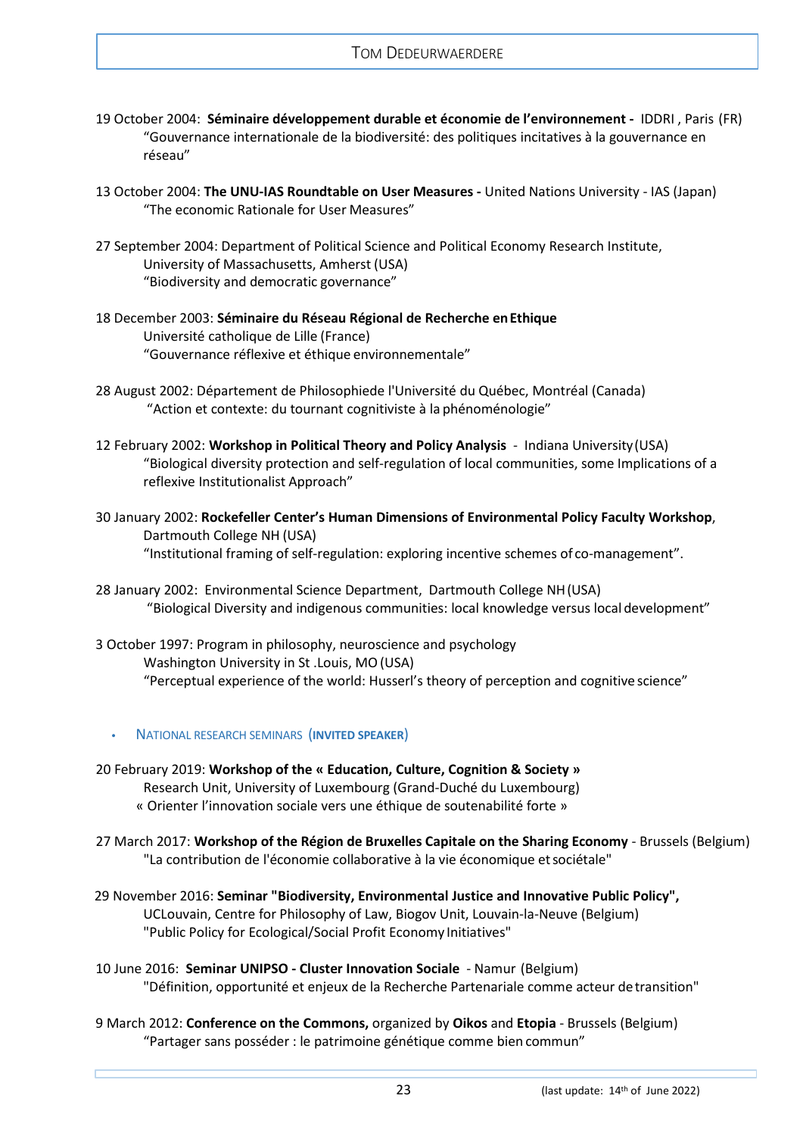- 19 October 2004: **Séminaire développement durable et économie de l'environnement** IDDRI , Paris (FR) "Gouvernance internationale de la biodiversité: des politiques incitatives à la gouvernance en réseau"
- 13 October 2004: **The UNU-IAS Roundtable on User Measures -** United Nations University IAS (Japan) "The economic Rationale for User Measures"
- 27 September 2004: Department of Political Science and Political Economy Research Institute, University of Massachusetts, Amherst (USA) "Biodiversity and democratic governance"
- 18 December 2003: **Séminaire du Réseau Régional de Recherche enEthique** Université catholique de Lille (France) "Gouvernance réflexive et éthique environnementale"
- 28 August 2002: Département de Philosophiede l'Université du Québec, Montréal (Canada) "Action et contexte: du tournant cognitiviste à la phénoménologie"
- 12 February 2002: **Workshop in Political Theory and Policy Analysis**  Indiana University(USA) "Biological diversity protection and self-regulation of local communities, some Implications of a reflexive Institutionalist Approach"
- 30 January 2002: **Rockefeller Center's Human Dimensions of Environmental Policy Faculty Workshop**, Dartmouth College NH (USA) "Institutional framing of self-regulation: exploring incentive schemes of co-management".
- 28 January 2002: Environmental Science Department, Dartmouth College NH(USA) "Biological Diversity and indigenous communities: local knowledge versus local development"
- 3 October 1997: Program in philosophy, neuroscience and psychology Washington University in St .Louis, MO(USA) "Perceptual experience of the world: Husserl's theory of perception and cognitive science"
	- **•** NATIONAL RESEARCH SEMINARS (**INVITED SPEAKER**)
- <span id="page-22-0"></span>20 February 2019: **Workshop of the « Education, Culture, Cognition & Society »** Research Unit, University of Luxembourg (Grand-Duché du Luxembourg) « Orienter l'innovation sociale vers une éthique de soutenabilité forte »
- 27 March 2017: **Workshop of the Région de Bruxelles Capitale on the Sharing Economy**  Brussels (Belgium) "La contribution de l'économie collaborative à la vie économique etsociétale"
- 29 November 2016: **Seminar "Biodiversity, Environmental Justice and Innovative Public Policy",** UCLouvain, Centre for Philosophy of Law, Biogov Unit, Louvain-la-Neuve (Belgium) "Public Policy for Ecological/Social Profit Economy Initiatives"
- 10 June 2016: **Seminar UNIPSO - Cluster Innovation Sociale**  Namur (Belgium) "Définition, opportunité et enjeux de la Recherche Partenariale comme acteur detransition"
- 9 March 2012: **Conference on the Commons,** organized by **Oikos** and **Etopia**  Brussels (Belgium) "Partager sans posséder : le patrimoine génétique comme bien commun"